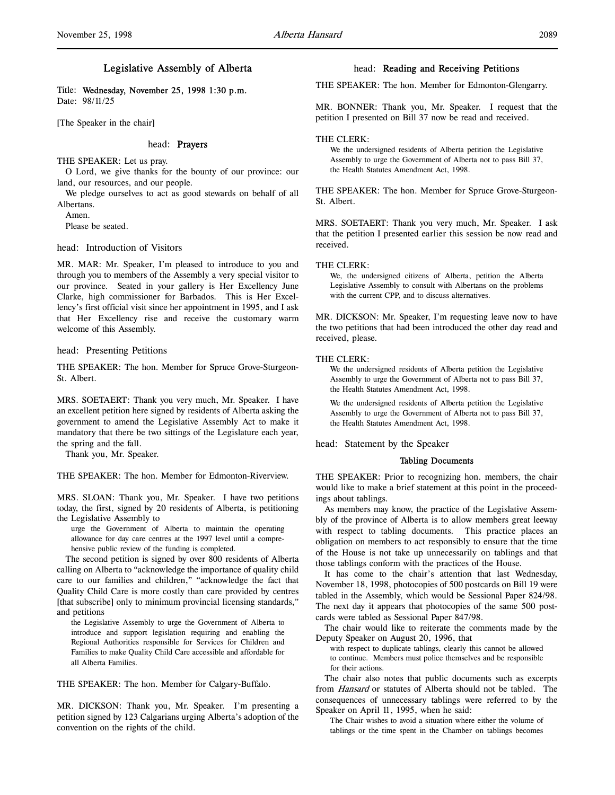# Legislative Assembly of Alberta

Title: Wednesday, November 25, 1998 1:30 p.m. Date: 98/11/25

[The Speaker in the chair]

## head: Prayers

THE SPEAKER: Let us pray.

O Lord, we give thanks for the bounty of our province: our land, our resources, and our people.

We pledge ourselves to act as good stewards on behalf of all Albertans.

Amen. Please be seated.

head: Introduction of Visitors

MR. MAR: Mr. Speaker, I'm pleased to introduce to you and through you to members of the Assembly a very special visitor to our province. Seated in your gallery is Her Excellency June Clarke, high commissioner for Barbados. This is Her Excellency's first official visit since her appointment in 1995, and I ask that Her Excellency rise and receive the customary warm welcome of this Assembly.

head: Presenting Petitions

THE SPEAKER: The hon. Member for Spruce Grove-Sturgeon-St. Albert.

MRS. SOETAERT: Thank you very much, Mr. Speaker. I have an excellent petition here signed by residents of Alberta asking the government to amend the Legislative Assembly Act to make it mandatory that there be two sittings of the Legislature each year, the spring and the fall.

Thank you, Mr. Speaker.

THE SPEAKER: The hon. Member for Edmonton-Riverview.

MRS. SLOAN: Thank you, Mr. Speaker. I have two petitions today, the first, signed by 20 residents of Alberta, is petitioning the Legislative Assembly to

urge the Government of Alberta to maintain the operating allowance for day care centres at the 1997 level until a comprehensive public review of the funding is completed.

The second petition is signed by over 800 residents of Alberta calling on Alberta to "acknowledge the importance of quality child care to our families and children," "acknowledge the fact that Quality Child Care is more costly than care provided by centres [that subscribe] only to minimum provincial licensing standards," and petitions

the Legislative Assembly to urge the Government of Alberta to introduce and support legislation requiring and enabling the Regional Authorities responsible for Services for Children and Families to make Quality Child Care accessible and affordable for all Alberta Families.

THE SPEAKER: The hon. Member for Calgary-Buffalo.

MR. DICKSON: Thank you, Mr. Speaker. I'm presenting a petition signed by 123 Calgarians urging Alberta's adoption of the convention on the rights of the child.

# head: Reading and Receiving Petitions

THE SPEAKER: The hon. Member for Edmonton-Glengarry.

MR. BONNER: Thank you, Mr. Speaker. I request that the petition I presented on Bill 37 now be read and received.

#### THE CLERK:

We the undersigned residents of Alberta petition the Legislative Assembly to urge the Government of Alberta not to pass Bill 37, the Health Statutes Amendment Act, 1998.

THE SPEAKER: The hon. Member for Spruce Grove-Sturgeon-St. Albert.

MRS. SOETAERT: Thank you very much, Mr. Speaker. I ask that the petition I presented earlier this session be now read and received.

## THE CLERK:

We, the undersigned citizens of Alberta, petition the Alberta Legislative Assembly to consult with Albertans on the problems with the current CPP, and to discuss alternatives.

MR. DICKSON: Mr. Speaker, I'm requesting leave now to have the two petitions that had been introduced the other day read and received, please.

#### THE CLERK:

We the undersigned residents of Alberta petition the Legislative Assembly to urge the Government of Alberta not to pass Bill 37, the Health Statutes Amendment Act, 1998.

We the undersigned residents of Alberta petition the Legislative Assembly to urge the Government of Alberta not to pass Bill 37, the Health Statutes Amendment Act, 1998.

head: Statement by the Speaker

#### Tabling Documents

THE SPEAKER: Prior to recognizing hon. members, the chair would like to make a brief statement at this point in the proceedings about tablings.

As members may know, the practice of the Legislative Assembly of the province of Alberta is to allow members great leeway with respect to tabling documents. This practice places an obligation on members to act responsibly to ensure that the time of the House is not take up unnecessarily on tablings and that those tablings conform with the practices of the House.

It has come to the chair's attention that last Wednesday, November 18, 1998, photocopies of 500 postcards on Bill 19 were tabled in the Assembly, which would be Sessional Paper 824/98. The next day it appears that photocopies of the same 500 postcards were tabled as Sessional Paper 847/98.

The chair would like to reiterate the comments made by the Deputy Speaker on August 20, 1996, that

with respect to duplicate tablings, clearly this cannot be allowed to continue. Members must police themselves and be responsible for their actions.

The chair also notes that public documents such as excerpts from *Hansard* or statutes of Alberta should not be tabled. The consequences of unnecessary tablings were referred to by the Speaker on April 11, 1995, when he said:

The Chair wishes to avoid a situation where either the volume of tablings or the time spent in the Chamber on tablings becomes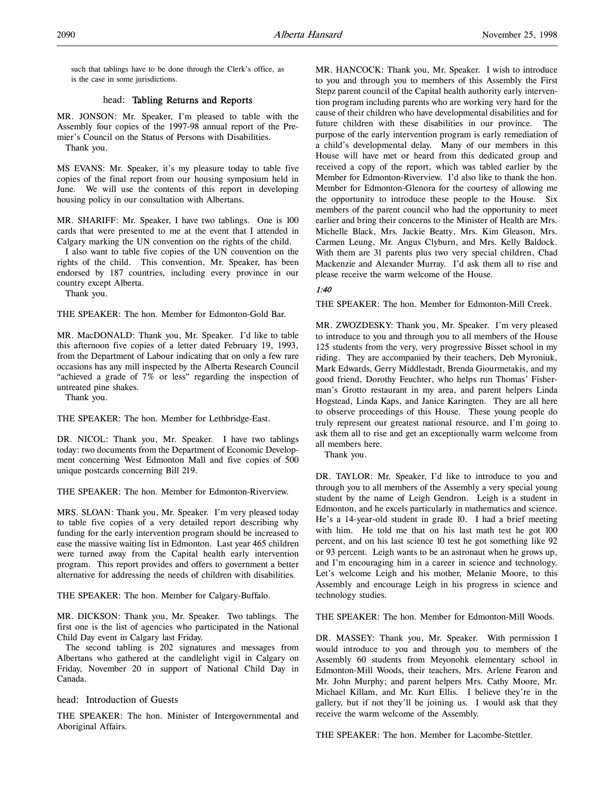such that tablings have to be done through the Clerk's office, as is the case in some jurisdictions.

# head: Tabling Returns and Reports

MR. JONSON: Mr. Speaker, I'm pleased to table with the Assembly four copies of the 1997-98 annual report of the Premier's Council on the Status of Persons with Disabilities. Thank you.

MS EVANS: Mr. Speaker, it's my pleasure today to table five copies of the final report from our housing symposium held in June. We will use the contents of this report in developing housing policy in our consultation with Albertans.

MR. SHARIFF: Mr. Speaker, I have two tablings. One is 100 cards that were presented to me at the event that I attended in Calgary marking the UN convention on the rights of the child.

I also want to table five copies of the UN convention on the rights of the child. This convention, Mr. Speaker, has been endorsed by 187 countries, including every province in our country except Alberta.

Thank you.

THE SPEAKER: The hon. Member for Edmonton-Gold Bar.

MR. MacDONALD: Thank you, Mr. Speaker. I'd like to table this afternoon five copies of a letter dated February 19, 1993, from the Department of Labour indicating that on only a few rare occasions has any mill inspected by the Alberta Research Council "achieved a grade of 7% or less" regarding the inspection of untreated pine shakes.

Thank you.

THE SPEAKER: The hon. Member for Lethbridge-East.

DR. NICOL: Thank you, Mr. Speaker. I have two tablings today: two documents from the Department of Economic Development concerning West Edmonton Mall and five copies of 500 unique postcards concerning Bill 219.

THE SPEAKER: The hon. Member for Edmonton-Riverview.

MRS. SLOAN: Thank you, Mr. Speaker. I'm very pleased today to table five copies of a very detailed report describing why funding for the early intervention program should be increased to ease the massive waiting list in Edmonton. Last year 465 children were turned away from the Capital health early intervention program. This report provides and offers to government a better alternative for addressing the needs of children with disabilities.

THE SPEAKER: The hon. Member for Calgary-Buffalo.

MR. DICKSON: Thank you, Mr. Speaker. Two tablings. The first one is the list of agencies who participated in the National Child Day event in Calgary last Friday.

The second tabling is 202 signatures and messages from Albertans who gathered at the candlelight vigil in Calgary on Friday, November 20 in support of National Child Day in Canada.

head: Introduction of Guests

THE SPEAKER: The hon. Minister of Intergovernmental and Aboriginal Affairs.

MR. HANCOCK: Thank you, Mr. Speaker. I wish to introduce to you and through you to members of this Assembly the First Stepz parent council of the Capital health authority early intervention program including parents who are working very hard for the cause of their children who have developmental disabilities and for future children with these disabilities in our province. The purpose of the early intervention program is early remediation of a child's developmental delay. Many of our members in this House will have met or heard from this dedicated group and received a copy of the report, which was tabled earlier by the Member for Edmonton-Riverview. I'd also like to thank the hon. Member for Edmonton-Glenora for the courtesy of allowing me the opportunity to introduce these people to the House. Six members of the parent council who had the opportunity to meet earlier and bring their concerns to the Minister of Health are Mrs. Michelle Black, Mrs. Jackie Beatty, Mrs. Kim Gleason, Mrs. Carmen Leung, Mr. Angus Clyburn, and Mrs. Kelly Baldock. With them are 31 parents plus two very special children, Chad Mackenzie and Alexander Murray. I'd ask them all to rise and please receive the warm welcome of the House.

# 1:40

THE SPEAKER: The hon. Member for Edmonton-Mill Creek.

MR. ZWOZDESKY: Thank you, Mr. Speaker. I'm very pleased to introduce to you and through you to all members of the House 125 students from the very, very progressive Bisset school in my riding. They are accompanied by their teachers, Deb Myroniuk, Mark Edwards, Gerry Middlestadt, Brenda Giourmetakis, and my good friend, Dorothy Feuchter, who helps run Thomas' Fisherman's Grotto restaurant in my area, and parent helpers Linda Hogstead, Linda Kaps, and Janice Karingten. They are all here to observe proceedings of this House. These young people do truly represent our greatest national resource, and I'm going to ask them all to rise and get an exceptionally warm welcome from all members here.

Thank you.

DR. TAYLOR: Mr. Speaker, I'd like to introduce to you and through you to all members of the Assembly a very special young student by the name of Leigh Gendron. Leigh is a student in Edmonton, and he excels particularly in mathematics and science. He's a 14-year-old student in grade 10. I had a brief meeting with him. He told me that on his last math test he got 100 percent, and on his last science 10 test he got something like 92 or 93 percent. Leigh wants to be an astronaut when he grows up, and I'm encouraging him in a career in science and technology. Let's welcome Leigh and his mother, Melanie Moore, to this Assembly and encourage Leigh in his progress in science and technology studies.

THE SPEAKER: The hon. Member for Edmonton-Mill Woods.

DR. MASSEY: Thank you, Mr. Speaker. With permission I would introduce to you and through you to members of the Assembly 60 students from Meyonohk elementary school in Edmonton-Mill Woods, their teachers, Mrs. Arlene Fearon and Mr. John Murphy; and parent helpers Mrs. Cathy Moore, Mr. Michael Killam, and Mr. Kurt Ellis. I believe they're in the gallery, but if not they'll be joining us. I would ask that they receive the warm welcome of the Assembly.

THE SPEAKER: The hon. Member for Lacombe-Stettler.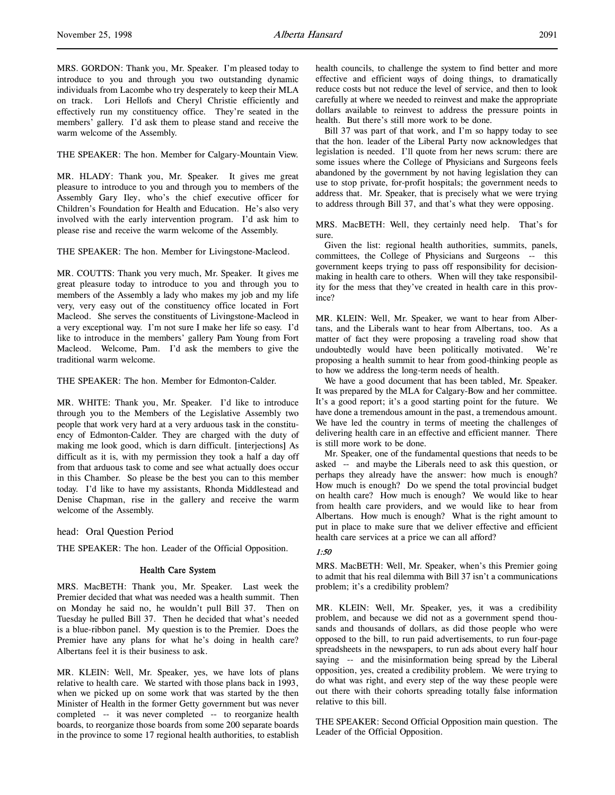MRS. GORDON: Thank you, Mr. Speaker. I'm pleased today to introduce to you and through you two outstanding dynamic individuals from Lacombe who try desperately to keep their MLA on track. Lori Hellofs and Cheryl Christie efficiently and effectively run my constituency office. They're seated in the members' gallery. I'd ask them to please stand and receive the warm welcome of the Assembly.

THE SPEAKER: The hon. Member for Calgary-Mountain View.

MR. HLADY: Thank you, Mr. Speaker. It gives me great pleasure to introduce to you and through you to members of the Assembly Gary Iley, who's the chief executive officer for Children's Foundation for Health and Education. He's also very involved with the early intervention program. I'd ask him to please rise and receive the warm welcome of the Assembly.

THE SPEAKER: The hon. Member for Livingstone-Macleod.

MR. COUTTS: Thank you very much, Mr. Speaker. It gives me great pleasure today to introduce to you and through you to members of the Assembly a lady who makes my job and my life very, very easy out of the constituency office located in Fort Macleod. She serves the constituents of Livingstone-Macleod in a very exceptional way. I'm not sure I make her life so easy. I'd like to introduce in the members' gallery Pam Young from Fort Macleod. Welcome, Pam. I'd ask the members to give the traditional warm welcome.

THE SPEAKER: The hon. Member for Edmonton-Calder.

MR. WHITE: Thank you, Mr. Speaker. I'd like to introduce through you to the Members of the Legislative Assembly two people that work very hard at a very arduous task in the constituency of Edmonton-Calder. They are charged with the duty of making me look good, which is darn difficult. [interjections] As difficult as it is, with my permission they took a half a day off from that arduous task to come and see what actually does occur in this Chamber. So please be the best you can to this member today. I'd like to have my assistants, Rhonda Middlestead and Denise Chapman, rise in the gallery and receive the warm welcome of the Assembly.

head: Oral Question Period

THE SPEAKER: The hon. Leader of the Official Opposition.

## Health Care System

MRS. MacBETH: Thank you, Mr. Speaker. Last week the Premier decided that what was needed was a health summit. Then on Monday he said no, he wouldn't pull Bill 37. Then on Tuesday he pulled Bill 37. Then he decided that what's needed is a blue-ribbon panel. My question is to the Premier. Does the Premier have any plans for what he's doing in health care? Albertans feel it is their business to ask.

MR. KLEIN: Well, Mr. Speaker, yes, we have lots of plans relative to health care. We started with those plans back in 1993, when we picked up on some work that was started by the then Minister of Health in the former Getty government but was never completed -- it was never completed -- to reorganize health boards, to reorganize those boards from some 200 separate boards in the province to some 17 regional health authorities, to establish

health councils, to challenge the system to find better and more effective and efficient ways of doing things, to dramatically reduce costs but not reduce the level of service, and then to look carefully at where we needed to reinvest and make the appropriate dollars available to reinvest to address the pressure points in health. But there's still more work to be done.

Bill 37 was part of that work, and I'm so happy today to see that the hon. leader of the Liberal Party now acknowledges that legislation is needed. I'll quote from her news scrum: there are some issues where the College of Physicians and Surgeons feels abandoned by the government by not having legislation they can use to stop private, for-profit hospitals; the government needs to address that. Mr. Speaker, that is precisely what we were trying to address through Bill 37, and that's what they were opposing.

MRS. MacBETH: Well, they certainly need help. That's for sure.

Given the list: regional health authorities, summits, panels, committees, the College of Physicians and Surgeons -- this government keeps trying to pass off responsibility for decisionmaking in health care to others. When will they take responsibility for the mess that they've created in health care in this province?

MR. KLEIN: Well, Mr. Speaker, we want to hear from Albertans, and the Liberals want to hear from Albertans, too. As a matter of fact they were proposing a traveling road show that undoubtedly would have been politically motivated. We're proposing a health summit to hear from good-thinking people as to how we address the long-term needs of health.

We have a good document that has been tabled, Mr. Speaker. It was prepared by the MLA for Calgary-Bow and her committee. It's a good report; it's a good starting point for the future. We have done a tremendous amount in the past, a tremendous amount. We have led the country in terms of meeting the challenges of delivering health care in an effective and efficient manner. There is still more work to be done.

Mr. Speaker, one of the fundamental questions that needs to be asked -- and maybe the Liberals need to ask this question, or perhaps they already have the answer: how much is enough? How much is enough? Do we spend the total provincial budget on health care? How much is enough? We would like to hear from health care providers, and we would like to hear from Albertans. How much is enough? What is the right amount to put in place to make sure that we deliver effective and efficient health care services at a price we can all afford?

## 1:50

MRS. MacBETH: Well, Mr. Speaker, when's this Premier going to admit that his real dilemma with Bill 37 isn't a communications problem; it's a credibility problem?

MR. KLEIN: Well, Mr. Speaker, yes, it was a credibility problem, and because we did not as a government spend thousands and thousands of dollars, as did those people who were opposed to the bill, to run paid advertisements, to run four-page spreadsheets in the newspapers, to run ads about every half hour saying -- and the misinformation being spread by the Liberal opposition, yes, created a credibility problem. We were trying to do what was right, and every step of the way these people were out there with their cohorts spreading totally false information relative to this bill.

THE SPEAKER: Second Official Opposition main question. The Leader of the Official Opposition.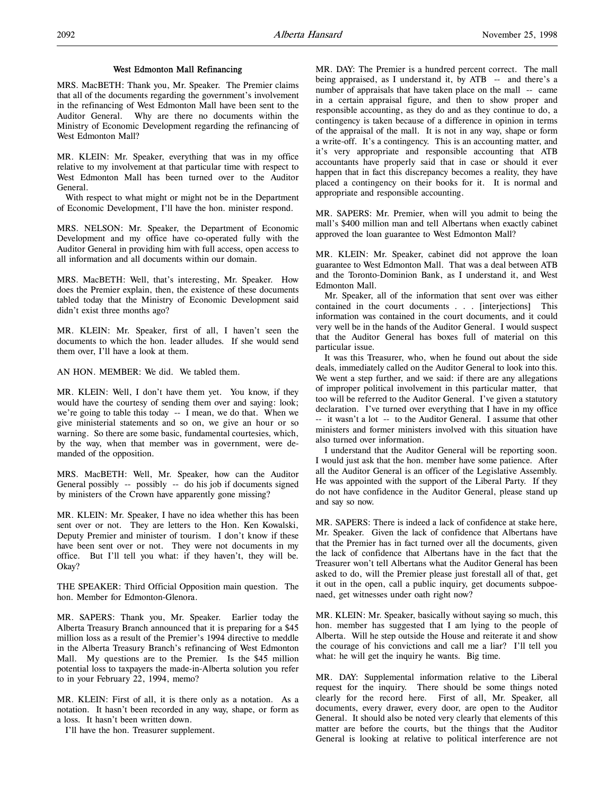#### West Edmonton Mall Refinancing

MRS. MacBETH: Thank you, Mr. Speaker. The Premier claims that all of the documents regarding the government's involvement in the refinancing of West Edmonton Mall have been sent to the Auditor General. Why are there no documents within the Ministry of Economic Development regarding the refinancing of West Edmonton Mall?

MR. KLEIN: Mr. Speaker, everything that was in my office relative to my involvement at that particular time with respect to West Edmonton Mall has been turned over to the Auditor General.

With respect to what might or might not be in the Department of Economic Development, I'll have the hon. minister respond.

MRS. NELSON: Mr. Speaker, the Department of Economic Development and my office have co-operated fully with the Auditor General in providing him with full access, open access to all information and all documents within our domain.

MRS. MacBETH: Well, that's interesting, Mr. Speaker. How does the Premier explain, then, the existence of these documents tabled today that the Ministry of Economic Development said didn't exist three months ago?

MR. KLEIN: Mr. Speaker, first of all, I haven't seen the documents to which the hon. leader alludes. If she would send them over, I'll have a look at them.

AN HON. MEMBER: We did. We tabled them.

MR. KLEIN: Well, I don't have them yet. You know, if they would have the courtesy of sending them over and saying: look; we're going to table this today -- I mean, we do that. When we give ministerial statements and so on, we give an hour or so warning. So there are some basic, fundamental courtesies, which, by the way, when that member was in government, were demanded of the opposition.

MRS. MacBETH: Well, Mr. Speaker, how can the Auditor General possibly -- possibly -- do his job if documents signed by ministers of the Crown have apparently gone missing?

MR. KLEIN: Mr. Speaker, I have no idea whether this has been sent over or not. They are letters to the Hon. Ken Kowalski, Deputy Premier and minister of tourism. I don't know if these have been sent over or not. They were not documents in my office. But I'll tell you what: if they haven't, they will be. Okay?

THE SPEAKER: Third Official Opposition main question. The hon. Member for Edmonton-Glenora.

MR. SAPERS: Thank you, Mr. Speaker. Earlier today the Alberta Treasury Branch announced that it is preparing for a \$45 million loss as a result of the Premier's 1994 directive to meddle in the Alberta Treasury Branch's refinancing of West Edmonton Mall. My questions are to the Premier. Is the \$45 million potential loss to taxpayers the made-in-Alberta solution you refer to in your February 22, 1994, memo?

MR. KLEIN: First of all, it is there only as a notation. As a notation. It hasn't been recorded in any way, shape, or form as a loss. It hasn't been written down.

I'll have the hon. Treasurer supplement.

MR. DAY: The Premier is a hundred percent correct. The mall being appraised, as I understand it, by ATB -- and there's a number of appraisals that have taken place on the mall -- came in a certain appraisal figure, and then to show proper and responsible accounting, as they do and as they continue to do, a contingency is taken because of a difference in opinion in terms of the appraisal of the mall. It is not in any way, shape or form a write-off. It's a contingency. This is an accounting matter, and it's very appropriate and responsible accounting that ATB accountants have properly said that in case or should it ever happen that in fact this discrepancy becomes a reality, they have placed a contingency on their books for it. It is normal and appropriate and responsible accounting.

MR. SAPERS: Mr. Premier, when will you admit to being the mall's \$400 million man and tell Albertans when exactly cabinet approved the loan guarantee to West Edmonton Mall?

MR. KLEIN: Mr. Speaker, cabinet did not approve the loan guarantee to West Edmonton Mall. That was a deal between ATB and the Toronto-Dominion Bank, as I understand it, and West Edmonton Mall.

Mr. Speaker, all of the information that sent over was either contained in the court documents . . . [interjections] This information was contained in the court documents, and it could very well be in the hands of the Auditor General. I would suspect that the Auditor General has boxes full of material on this particular issue.

It was this Treasurer, who, when he found out about the side deals, immediately called on the Auditor General to look into this. We went a step further, and we said: if there are any allegations of improper political involvement in this particular matter, that too will be referred to the Auditor General. I've given a statutory declaration. I've turned over everything that I have in my office -- it wasn't a lot -- to the Auditor General. I assume that other ministers and former ministers involved with this situation have also turned over information.

I understand that the Auditor General will be reporting soon. I would just ask that the hon. member have some patience. After all the Auditor General is an officer of the Legislative Assembly. He was appointed with the support of the Liberal Party. If they do not have confidence in the Auditor General, please stand up and say so now.

MR. SAPERS: There is indeed a lack of confidence at stake here, Mr. Speaker. Given the lack of confidence that Albertans have that the Premier has in fact turned over all the documents, given the lack of confidence that Albertans have in the fact that the Treasurer won't tell Albertans what the Auditor General has been asked to do, will the Premier please just forestall all of that, get it out in the open, call a public inquiry, get documents subpoenaed, get witnesses under oath right now?

MR. KLEIN: Mr. Speaker, basically without saying so much, this hon. member has suggested that I am lying to the people of Alberta. Will he step outside the House and reiterate it and show the courage of his convictions and call me a liar? I'll tell you what: he will get the inquiry he wants. Big time.

MR. DAY: Supplemental information relative to the Liberal request for the inquiry. There should be some things noted clearly for the record here. First of all, Mr. Speaker, all documents, every drawer, every door, are open to the Auditor General. It should also be noted very clearly that elements of this matter are before the courts, but the things that the Auditor General is looking at relative to political interference are not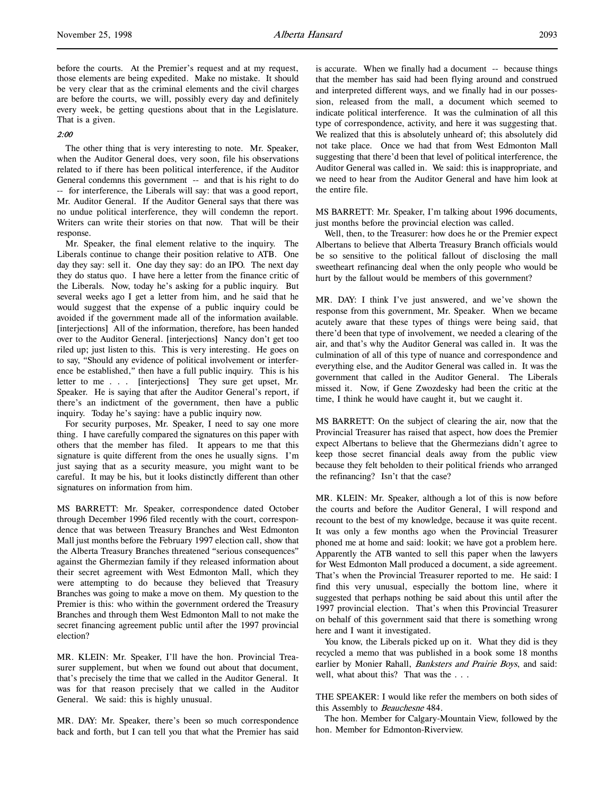before the courts. At the Premier's request and at my request, those elements are being expedited. Make no mistake. It should be very clear that as the criminal elements and the civil charges are before the courts, we will, possibly every day and definitely every week, be getting questions about that in the Legislature. That is a given.

# 2:00

The other thing that is very interesting to note. Mr. Speaker, when the Auditor General does, very soon, file his observations related to if there has been political interference, if the Auditor General condemns this government -- and that is his right to do -- for interference, the Liberals will say: that was a good report, Mr. Auditor General. If the Auditor General says that there was no undue political interference, they will condemn the report. Writers can write their stories on that now. That will be their response.

Mr. Speaker, the final element relative to the inquiry. The Liberals continue to change their position relative to ATB. One day they say: sell it. One day they say: do an IPO. The next day they do status quo. I have here a letter from the finance critic of the Liberals. Now, today he's asking for a public inquiry. But several weeks ago I get a letter from him, and he said that he would suggest that the expense of a public inquiry could be avoided if the government made all of the information available. [interjections] All of the information, therefore, has been handed over to the Auditor General. [interjections] Nancy don't get too riled up; just listen to this. This is very interesting. He goes on to say, "Should any evidence of political involvement or interference be established," then have a full public inquiry. This is his letter to me . . . [interjections] They sure get upset, Mr. Speaker. He is saying that after the Auditor General's report, if there's an indictment of the government, then have a public inquiry. Today he's saying: have a public inquiry now.

For security purposes, Mr. Speaker, I need to say one more thing. I have carefully compared the signatures on this paper with others that the member has filed. It appears to me that this signature is quite different from the ones he usually signs. I'm just saying that as a security measure, you might want to be careful. It may be his, but it looks distinctly different than other signatures on information from him.

MS BARRETT: Mr. Speaker, correspondence dated October through December 1996 filed recently with the court, correspondence that was between Treasury Branches and West Edmonton Mall just months before the February 1997 election call, show that the Alberta Treasury Branches threatened "serious consequences" against the Ghermezian family if they released information about their secret agreement with West Edmonton Mall, which they were attempting to do because they believed that Treasury Branches was going to make a move on them. My question to the Premier is this: who within the government ordered the Treasury Branches and through them West Edmonton Mall to not make the secret financing agreement public until after the 1997 provincial election?

MR. KLEIN: Mr. Speaker, I'll have the hon. Provincial Treasurer supplement, but when we found out about that document, that's precisely the time that we called in the Auditor General. It was for that reason precisely that we called in the Auditor General. We said: this is highly unusual.

MR. DAY: Mr. Speaker, there's been so much correspondence back and forth, but I can tell you that what the Premier has said

is accurate. When we finally had a document -- because things that the member has said had been flying around and construed and interpreted different ways, and we finally had in our possession, released from the mall, a document which seemed to indicate political interference. It was the culmination of all this type of correspondence, activity, and here it was suggesting that. We realized that this is absolutely unheard of; this absolutely did not take place. Once we had that from West Edmonton Mall suggesting that there'd been that level of political interference, the Auditor General was called in. We said: this is inappropriate, and we need to hear from the Auditor General and have him look at the entire file.

MS BARRETT: Mr. Speaker, I'm talking about 1996 documents, just months before the provincial election was called.

Well, then, to the Treasurer: how does he or the Premier expect Albertans to believe that Alberta Treasury Branch officials would be so sensitive to the political fallout of disclosing the mall sweetheart refinancing deal when the only people who would be hurt by the fallout would be members of this government?

MR. DAY: I think I've just answered, and we've shown the response from this government, Mr. Speaker. When we became acutely aware that these types of things were being said, that there'd been that type of involvement, we needed a clearing of the air, and that's why the Auditor General was called in. It was the culmination of all of this type of nuance and correspondence and everything else, and the Auditor General was called in. It was the government that called in the Auditor General. The Liberals missed it. Now, if Gene Zwozdesky had been the critic at the time, I think he would have caught it, but we caught it.

MS BARRETT: On the subject of clearing the air, now that the Provincial Treasurer has raised that aspect, how does the Premier expect Albertans to believe that the Ghermezians didn't agree to keep those secret financial deals away from the public view because they felt beholden to their political friends who arranged the refinancing? Isn't that the case?

MR. KLEIN: Mr. Speaker, although a lot of this is now before the courts and before the Auditor General, I will respond and recount to the best of my knowledge, because it was quite recent. It was only a few months ago when the Provincial Treasurer phoned me at home and said: lookit; we have got a problem here. Apparently the ATB wanted to sell this paper when the lawyers for West Edmonton Mall produced a document, a side agreement. That's when the Provincial Treasurer reported to me. He said: I find this very unusual, especially the bottom line, where it suggested that perhaps nothing be said about this until after the 1997 provincial election. That's when this Provincial Treasurer on behalf of this government said that there is something wrong here and I want it investigated.

You know, the Liberals picked up on it. What they did is they recycled a memo that was published in a book some 18 months earlier by Monier Rahall, Banksters and Prairie Boys, and said: well, what about this? That was the . . .

THE SPEAKER: I would like refer the members on both sides of this Assembly to Beauchesne 484.

The hon. Member for Calgary-Mountain View, followed by the hon. Member for Edmonton-Riverview.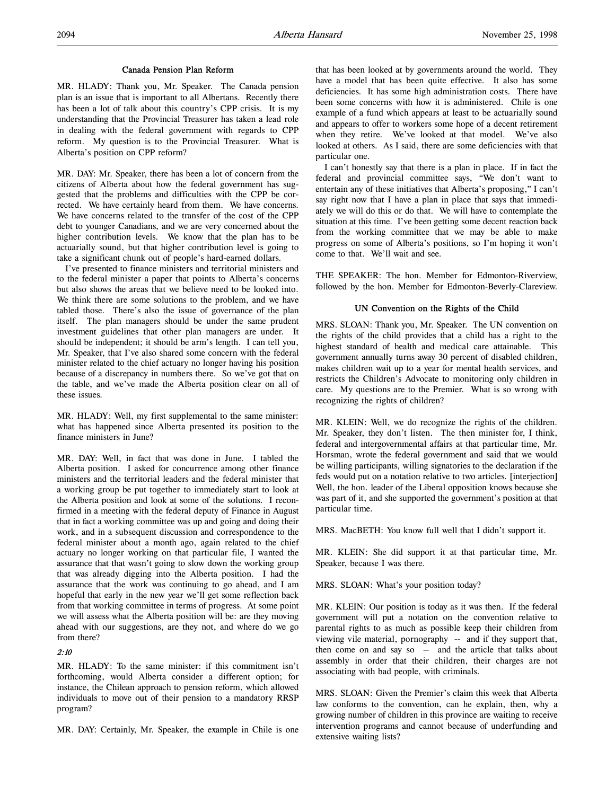# Canada Pension Plan Reform

MR. HLADY: Thank you, Mr. Speaker. The Canada pension plan is an issue that is important to all Albertans. Recently there has been a lot of talk about this country's CPP crisis. It is my understanding that the Provincial Treasurer has taken a lead role in dealing with the federal government with regards to CPP reform. My question is to the Provincial Treasurer. What is Alberta's position on CPP reform?

MR. DAY: Mr. Speaker, there has been a lot of concern from the citizens of Alberta about how the federal government has suggested that the problems and difficulties with the CPP be corrected. We have certainly heard from them. We have concerns. We have concerns related to the transfer of the cost of the CPP debt to younger Canadians, and we are very concerned about the higher contribution levels. We know that the plan has to be actuarially sound, but that higher contribution level is going to take a significant chunk out of people's hard-earned dollars.

I've presented to finance ministers and territorial ministers and to the federal minister a paper that points to Alberta's concerns but also shows the areas that we believe need to be looked into. We think there are some solutions to the problem, and we have tabled those. There's also the issue of governance of the plan itself. The plan managers should be under the same prudent investment guidelines that other plan managers are under. It should be independent; it should be arm's length. I can tell you, Mr. Speaker, that I've also shared some concern with the federal minister related to the chief actuary no longer having his position because of a discrepancy in numbers there. So we've got that on the table, and we've made the Alberta position clear on all of these issues.

MR. HLADY: Well, my first supplemental to the same minister: what has happened since Alberta presented its position to the finance ministers in June?

MR. DAY: Well, in fact that was done in June. I tabled the Alberta position. I asked for concurrence among other finance ministers and the territorial leaders and the federal minister that a working group be put together to immediately start to look at the Alberta position and look at some of the solutions. I reconfirmed in a meeting with the federal deputy of Finance in August that in fact a working committee was up and going and doing their work, and in a subsequent discussion and correspondence to the federal minister about a month ago, again related to the chief actuary no longer working on that particular file, I wanted the assurance that that wasn't going to slow down the working group that was already digging into the Alberta position. I had the assurance that the work was continuing to go ahead, and I am hopeful that early in the new year we'll get some reflection back from that working committee in terms of progress. At some point we will assess what the Alberta position will be: are they moving ahead with our suggestions, are they not, and where do we go from there?

# 2:10

MR. HLADY: To the same minister: if this commitment isn't forthcoming, would Alberta consider a different option; for instance, the Chilean approach to pension reform, which allowed individuals to move out of their pension to a mandatory RRSP program?

MR. DAY: Certainly, Mr. Speaker, the example in Chile is one

that has been looked at by governments around the world. They have a model that has been quite effective. It also has some deficiencies. It has some high administration costs. There have been some concerns with how it is administered. Chile is one example of a fund which appears at least to be actuarially sound and appears to offer to workers some hope of a decent retirement when they retire. We've looked at that model. We've also looked at others. As I said, there are some deficiencies with that particular one.

I can't honestly say that there is a plan in place. If in fact the federal and provincial committee says, "We don't want to entertain any of these initiatives that Alberta's proposing," I can't say right now that I have a plan in place that says that immediately we will do this or do that. We will have to contemplate the situation at this time. I've been getting some decent reaction back from the working committee that we may be able to make progress on some of Alberta's positions, so I'm hoping it won't come to that. We'll wait and see.

THE SPEAKER: The hon. Member for Edmonton-Riverview, followed by the hon. Member for Edmonton-Beverly-Clareview.

# UN Convention on the Rights of the Child

MRS. SLOAN: Thank you, Mr. Speaker. The UN convention on the rights of the child provides that a child has a right to the highest standard of health and medical care attainable. This government annually turns away 30 percent of disabled children, makes children wait up to a year for mental health services, and restricts the Children's Advocate to monitoring only children in care. My questions are to the Premier. What is so wrong with recognizing the rights of children?

MR. KLEIN: Well, we do recognize the rights of the children. Mr. Speaker, they don't listen. The then minister for, I think, federal and intergovernmental affairs at that particular time, Mr. Horsman, wrote the federal government and said that we would be willing participants, willing signatories to the declaration if the feds would put on a notation relative to two articles. [interjection] Well, the hon. leader of the Liberal opposition knows because she was part of it, and she supported the government's position at that particular time.

MRS. MacBETH: You know full well that I didn't support it.

MR. KLEIN: She did support it at that particular time, Mr. Speaker, because I was there.

MRS. SLOAN: What's your position today?

MR. KLEIN: Our position is today as it was then. If the federal government will put a notation on the convention relative to parental rights to as much as possible keep their children from viewing vile material, pornography -- and if they support that, then come on and say so -- and the article that talks about assembly in order that their children, their charges are not associating with bad people, with criminals.

MRS. SLOAN: Given the Premier's claim this week that Alberta law conforms to the convention, can he explain, then, why a growing number of children in this province are waiting to receive intervention programs and cannot because of underfunding and extensive waiting lists?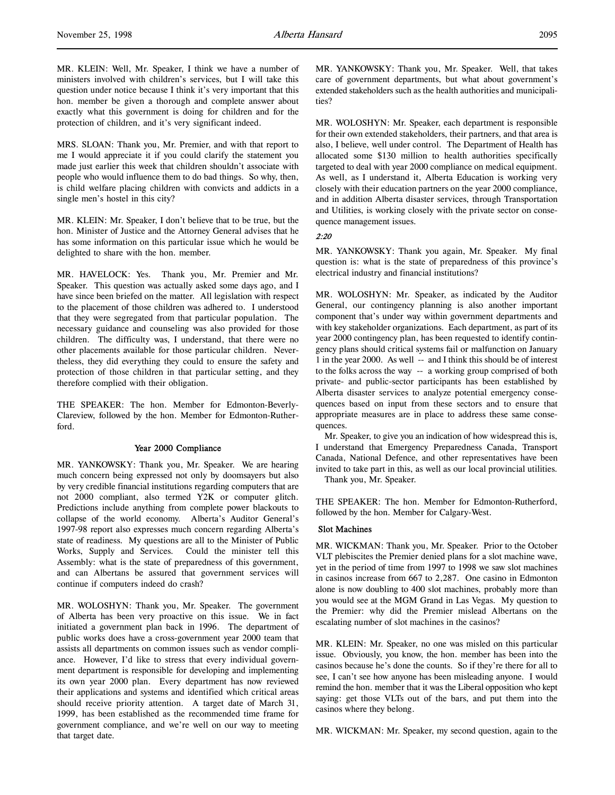MR. KLEIN: Well, Mr. Speaker, I think we have a number of ministers involved with children's services, but I will take this question under notice because I think it's very important that this hon. member be given a thorough and complete answer about exactly what this government is doing for children and for the protection of children, and it's very significant indeed.

MRS. SLOAN: Thank you, Mr. Premier, and with that report to me I would appreciate it if you could clarify the statement you made just earlier this week that children shouldn't associate with people who would influence them to do bad things. So why, then, is child welfare placing children with convicts and addicts in a single men's hostel in this city?

MR. KLEIN: Mr. Speaker, I don't believe that to be true, but the hon. Minister of Justice and the Attorney General advises that he has some information on this particular issue which he would be delighted to share with the hon. member.

MR. HAVELOCK: Yes. Thank you, Mr. Premier and Mr. Speaker. This question was actually asked some days ago, and I have since been briefed on the matter. All legislation with respect to the placement of those children was adhered to. I understood that they were segregated from that particular population. The necessary guidance and counseling was also provided for those children. The difficulty was, I understand, that there were no other placements available for those particular children. Nevertheless, they did everything they could to ensure the safety and protection of those children in that particular setting, and they therefore complied with their obligation.

THE SPEAKER: The hon. Member for Edmonton-Beverly-Clareview, followed by the hon. Member for Edmonton-Rutherford.

# Year 2000 Compliance

MR. YANKOWSKY: Thank you, Mr. Speaker. We are hearing much concern being expressed not only by doomsayers but also by very credible financial institutions regarding computers that are not 2000 compliant, also termed Y2K or computer glitch. Predictions include anything from complete power blackouts to collapse of the world economy. Alberta's Auditor General's 1997-98 report also expresses much concern regarding Alberta's state of readiness. My questions are all to the Minister of Public Works, Supply and Services. Could the minister tell this Assembly: what is the state of preparedness of this government, and can Albertans be assured that government services will continue if computers indeed do crash?

MR. WOLOSHYN: Thank you, Mr. Speaker. The government of Alberta has been very proactive on this issue. We in fact initiated a government plan back in 1996. The department of public works does have a cross-government year 2000 team that assists all departments on common issues such as vendor compliance. However, I'd like to stress that every individual government department is responsible for developing and implementing its own year 2000 plan. Every department has now reviewed their applications and systems and identified which critical areas should receive priority attention. A target date of March 31, 1999, has been established as the recommended time frame for government compliance, and we're well on our way to meeting that target date.

MR. YANKOWSKY: Thank you, Mr. Speaker. Well, that takes care of government departments, but what about government's extended stakeholders such as the health authorities and municipalities?

MR. WOLOSHYN: Mr. Speaker, each department is responsible for their own extended stakeholders, their partners, and that area is also, I believe, well under control. The Department of Health has allocated some \$130 million to health authorities specifically targeted to deal with year 2000 compliance on medical equipment. As well, as I understand it, Alberta Education is working very closely with their education partners on the year 2000 compliance, and in addition Alberta disaster services, through Transportation and Utilities, is working closely with the private sector on consequence management issues.

# 2:20

MR. YANKOWSKY: Thank you again, Mr. Speaker. My final question is: what is the state of preparedness of this province's electrical industry and financial institutions?

MR. WOLOSHYN: Mr. Speaker, as indicated by the Auditor General, our contingency planning is also another important component that's under way within government departments and with key stakeholder organizations. Each department, as part of its year 2000 contingency plan, has been requested to identify contingency plans should critical systems fail or malfunction on January 1 in the year 2000. As well -- and I think this should be of interest to the folks across the way -- a working group comprised of both private- and public-sector participants has been established by Alberta disaster services to analyze potential emergency consequences based on input from these sectors and to ensure that appropriate measures are in place to address these same consequences.

Mr. Speaker, to give you an indication of how widespread this is, I understand that Emergency Preparedness Canada, Transport Canada, National Defence, and other representatives have been invited to take part in this, as well as our local provincial utilities.

Thank you, Mr. Speaker.

THE SPEAKER: The hon. Member for Edmonton-Rutherford, followed by the hon. Member for Calgary-West.

# Slot Machines

MR. WICKMAN: Thank you, Mr. Speaker. Prior to the October VLT plebiscites the Premier denied plans for a slot machine wave, yet in the period of time from 1997 to 1998 we saw slot machines in casinos increase from 667 to 2,287. One casino in Edmonton alone is now doubling to 400 slot machines, probably more than you would see at the MGM Grand in Las Vegas. My question to the Premier: why did the Premier mislead Albertans on the escalating number of slot machines in the casinos?

MR. KLEIN: Mr. Speaker, no one was misled on this particular issue. Obviously, you know, the hon. member has been into the casinos because he's done the counts. So if they're there for all to see, I can't see how anyone has been misleading anyone. I would remind the hon. member that it was the Liberal opposition who kept saying: get those VLTs out of the bars, and put them into the casinos where they belong.

MR. WICKMAN: Mr. Speaker, my second question, again to the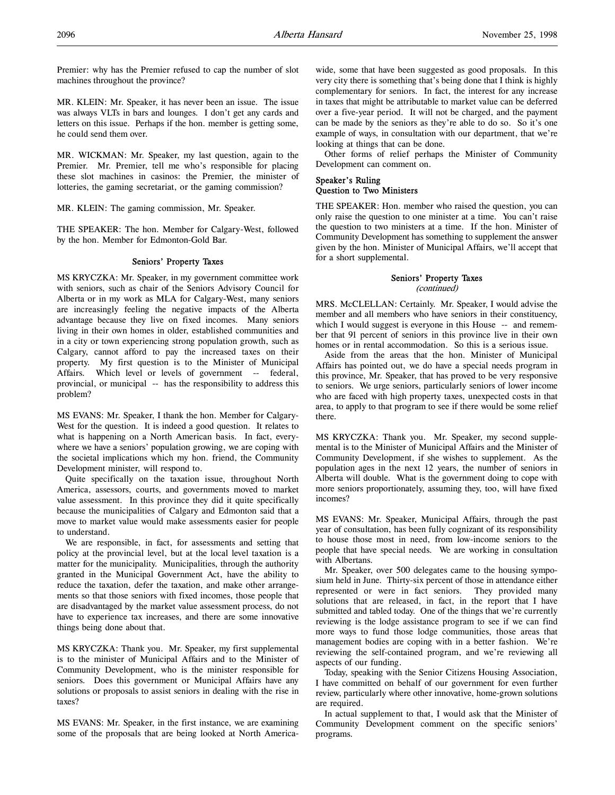Premier: why has the Premier refused to cap the number of slot machines throughout the province?

MR. KLEIN: Mr. Speaker, it has never been an issue. The issue was always VLTs in bars and lounges. I don't get any cards and letters on this issue. Perhaps if the hon. member is getting some, he could send them over.

MR. WICKMAN: Mr. Speaker, my last question, again to the Premier. Mr. Premier, tell me who's responsible for placing these slot machines in casinos: the Premier, the minister of lotteries, the gaming secretariat, or the gaming commission?

MR. KLEIN: The gaming commission, Mr. Speaker.

THE SPEAKER: The hon. Member for Calgary-West, followed by the hon. Member for Edmonton-Gold Bar.

## Seniors' Property Taxes

MS KRYCZKA: Mr. Speaker, in my government committee work with seniors, such as chair of the Seniors Advisory Council for Alberta or in my work as MLA for Calgary-West, many seniors are increasingly feeling the negative impacts of the Alberta advantage because they live on fixed incomes. Many seniors living in their own homes in older, established communities and in a city or town experiencing strong population growth, such as Calgary, cannot afford to pay the increased taxes on their property. My first question is to the Minister of Municipal Affairs. Which level or levels of government -- federal, provincial, or municipal -- has the responsibility to address this problem?

MS EVANS: Mr. Speaker, I thank the hon. Member for Calgary-West for the question. It is indeed a good question. It relates to what is happening on a North American basis. In fact, everywhere we have a seniors' population growing, we are coping with the societal implications which my hon. friend, the Community Development minister, will respond to.

Quite specifically on the taxation issue, throughout North America, assessors, courts, and governments moved to market value assessment. In this province they did it quite specifically because the municipalities of Calgary and Edmonton said that a move to market value would make assessments easier for people to understand.

We are responsible, in fact, for assessments and setting that policy at the provincial level, but at the local level taxation is a matter for the municipality. Municipalities, through the authority granted in the Municipal Government Act, have the ability to reduce the taxation, defer the taxation, and make other arrangements so that those seniors with fixed incomes, those people that are disadvantaged by the market value assessment process, do not have to experience tax increases, and there are some innovative things being done about that.

MS KRYCZKA: Thank you. Mr. Speaker, my first supplemental is to the minister of Municipal Affairs and to the Minister of Community Development, who is the minister responsible for seniors. Does this government or Municipal Affairs have any solutions or proposals to assist seniors in dealing with the rise in taxes?

MS EVANS: Mr. Speaker, in the first instance, we are examining some of the proposals that are being looked at North Americawide, some that have been suggested as good proposals. In this very city there is something that's being done that I think is highly complementary for seniors. In fact, the interest for any increase in taxes that might be attributable to market value can be deferred over a five-year period. It will not be charged, and the payment can be made by the seniors as they're able to do so. So it's one example of ways, in consultation with our department, that we're looking at things that can be done.

Other forms of relief perhaps the Minister of Community Development can comment on.

## Speaker's Ruling Question to Two Ministers

THE SPEAKER: Hon. member who raised the question, you can only raise the question to one minister at a time. You can't raise the question to two ministers at a time. If the hon. Minister of Community Development has something to supplement the answer given by the hon. Minister of Municipal Affairs, we'll accept that for a short supplemental.

# Seniors' Property Taxes (continued)

MRS. McCLELLAN: Certainly. Mr. Speaker, I would advise the member and all members who have seniors in their constituency, which I would suggest is everyone in this House -- and remember that 91 percent of seniors in this province live in their own homes or in rental accommodation. So this is a serious issue.

Aside from the areas that the hon. Minister of Municipal Affairs has pointed out, we do have a special needs program in this province, Mr. Speaker, that has proved to be very responsive to seniors. We urge seniors, particularly seniors of lower income who are faced with high property taxes, unexpected costs in that area, to apply to that program to see if there would be some relief there.

MS KRYCZKA: Thank you. Mr. Speaker, my second supplemental is to the Minister of Municipal Affairs and the Minister of Community Development, if she wishes to supplement. As the population ages in the next 12 years, the number of seniors in Alberta will double. What is the government doing to cope with more seniors proportionately, assuming they, too, will have fixed incomes?

MS EVANS: Mr. Speaker, Municipal Affairs, through the past year of consultation, has been fully cognizant of its responsibility to house those most in need, from low-income seniors to the people that have special needs. We are working in consultation with Albertans.

Mr. Speaker, over 500 delegates came to the housing symposium held in June. Thirty-six percent of those in attendance either represented or were in fact seniors. They provided many solutions that are released, in fact, in the report that I have submitted and tabled today. One of the things that we're currently reviewing is the lodge assistance program to see if we can find more ways to fund those lodge communities, those areas that management bodies are coping with in a better fashion. We're reviewing the self-contained program, and we're reviewing all aspects of our funding.

Today, speaking with the Senior Citizens Housing Association, I have committed on behalf of our government for even further review, particularly where other innovative, home-grown solutions are required.

In actual supplement to that, I would ask that the Minister of Community Development comment on the specific seniors' programs.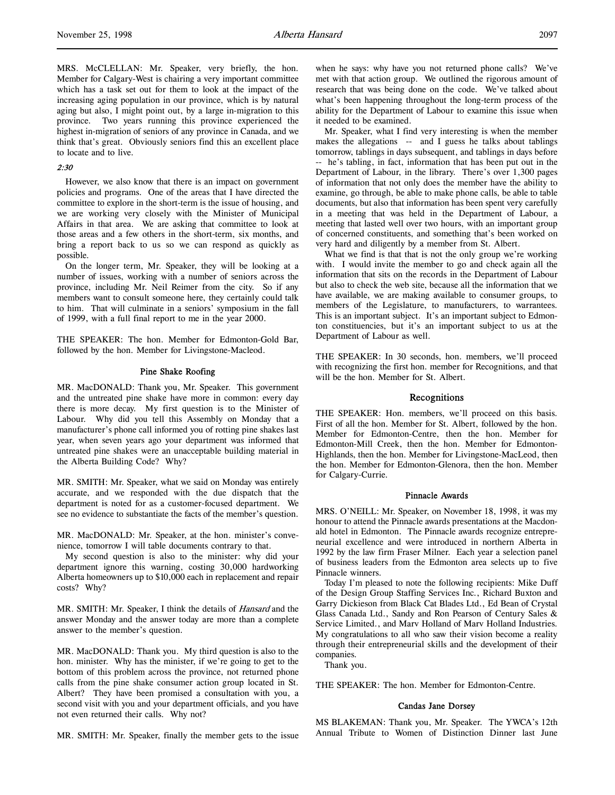MRS. McCLELLAN: Mr. Speaker, very briefly, the hon. Member for Calgary-West is chairing a very important committee which has a task set out for them to look at the impact of the increasing aging population in our province, which is by natural aging but also, I might point out, by a large in-migration to this province. Two years running this province experienced the highest in-migration of seniors of any province in Canada, and we think that's great. Obviously seniors find this an excellent place to locate and to live.

# 2:30

However, we also know that there is an impact on government policies and programs. One of the areas that I have directed the committee to explore in the short-term is the issue of housing, and we are working very closely with the Minister of Municipal Affairs in that area. We are asking that committee to look at those areas and a few others in the short-term, six months, and bring a report back to us so we can respond as quickly as possible.

On the longer term, Mr. Speaker, they will be looking at a number of issues, working with a number of seniors across the province, including Mr. Neil Reimer from the city. So if any members want to consult someone here, they certainly could talk to him. That will culminate in a seniors' symposium in the fall of 1999, with a full final report to me in the year 2000.

THE SPEAKER: The hon. Member for Edmonton-Gold Bar, followed by the hon. Member for Livingstone-Macleod.

## Pine Shake Roofing

MR. MacDONALD: Thank you, Mr. Speaker. This government and the untreated pine shake have more in common: every day there is more decay. My first question is to the Minister of Labour. Why did you tell this Assembly on Monday that a manufacturer's phone call informed you of rotting pine shakes last year, when seven years ago your department was informed that untreated pine shakes were an unacceptable building material in the Alberta Building Code? Why?

MR. SMITH: Mr. Speaker, what we said on Monday was entirely accurate, and we responded with the due dispatch that the department is noted for as a customer-focused department. We see no evidence to substantiate the facts of the member's question.

MR. MacDONALD: Mr. Speaker, at the hon. minister's convenience, tomorrow I will table documents contrary to that.

My second question is also to the minister: why did your department ignore this warning, costing 30,000 hardworking Alberta homeowners up to \$10,000 each in replacement and repair costs? Why?

MR. SMITH: Mr. Speaker, I think the details of *Hansard* and the answer Monday and the answer today are more than a complete answer to the member's question.

MR. MacDONALD: Thank you. My third question is also to the hon. minister. Why has the minister, if we're going to get to the bottom of this problem across the province, not returned phone calls from the pine shake consumer action group located in St. Albert? They have been promised a consultation with you, a second visit with you and your department officials, and you have not even returned their calls. Why not?

MR. SMITH: Mr. Speaker, finally the member gets to the issue

when he says: why have you not returned phone calls? We've met with that action group. We outlined the rigorous amount of research that was being done on the code. We've talked about what's been happening throughout the long-term process of the ability for the Department of Labour to examine this issue when it needed to be examined.

Mr. Speaker, what I find very interesting is when the member makes the allegations -- and I guess he talks about tablings tomorrow, tablings in days subsequent, and tablings in days before -- he's tabling, in fact, information that has been put out in the Department of Labour, in the library. There's over 1,300 pages of information that not only does the member have the ability to examine, go through, be able to make phone calls, be able to table documents, but also that information has been spent very carefully in a meeting that was held in the Department of Labour, a meeting that lasted well over two hours, with an important group of concerned constituents, and something that's been worked on very hard and diligently by a member from St. Albert.

What we find is that that is not the only group we're working with. I would invite the member to go and check again all the information that sits on the records in the Department of Labour but also to check the web site, because all the information that we have available, we are making available to consumer groups, to members of the Legislature, to manufacturers, to warrantees. This is an important subject. It's an important subject to Edmonton constituencies, but it's an important subject to us at the Department of Labour as well.

THE SPEAKER: In 30 seconds, hon. members, we'll proceed with recognizing the first hon. member for Recognitions, and that will be the hon. Member for St. Albert.

# Recognitions

THE SPEAKER: Hon. members, we'll proceed on this basis. First of all the hon. Member for St. Albert, followed by the hon. Member for Edmonton-Centre, then the hon. Member for Edmonton-Mill Creek, then the hon. Member for Edmonton-Highlands, then the hon. Member for Livingstone-MacLeod, then the hon. Member for Edmonton-Glenora, then the hon. Member for Calgary-Currie.

# Pinnacle Awards

MRS. O'NEILL: Mr. Speaker, on November 18, 1998, it was my honour to attend the Pinnacle awards presentations at the Macdonald hotel in Edmonton. The Pinnacle awards recognize entrepreneurial excellence and were introduced in northern Alberta in 1992 by the law firm Fraser Milner. Each year a selection panel of business leaders from the Edmonton area selects up to five Pinnacle winners.

Today I'm pleased to note the following recipients: Mike Duff of the Design Group Staffing Services Inc., Richard Buxton and Garry Dickieson from Black Cat Blades Ltd., Ed Bean of Crystal Glass Canada Ltd., Sandy and Ron Pearson of Century Sales & Service Limited., and Marv Holland of Marv Holland Industries. My congratulations to all who saw their vision become a reality through their entrepreneurial skills and the development of their companies.

Thank you.

THE SPEAKER: The hon. Member for Edmonton-Centre.

# Candas Jane Dorsey

MS BLAKEMAN: Thank you, Mr. Speaker. The YWCA's 12th Annual Tribute to Women of Distinction Dinner last June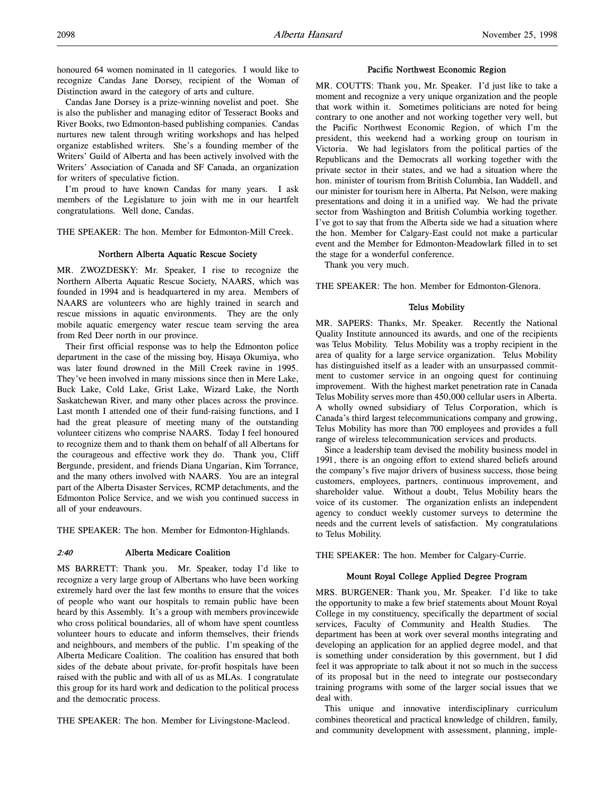Candas Jane Dorsey is a prize-winning novelist and poet. She is also the publisher and managing editor of Tesseract Books and River Books, two Edmonton-based publishing companies. Candas nurtures new talent through writing workshops and has helped organize established writers. She's a founding member of the Writers' Guild of Alberta and has been actively involved with the Writers' Association of Canada and SF Canada, an organization for writers of speculative fiction.

I'm proud to have known Candas for many years. I ask members of the Legislature to join with me in our heartfelt congratulations. Well done, Candas.

THE SPEAKER: The hon. Member for Edmonton-Mill Creek.

# Northern Alberta Aquatic Rescue Society

MR. ZWOZDESKY: Mr. Speaker, I rise to recognize the Northern Alberta Aquatic Rescue Society, NAARS, which was founded in 1994 and is headquartered in my area. Members of NAARS are volunteers who are highly trained in search and rescue missions in aquatic environments. They are the only mobile aquatic emergency water rescue team serving the area from Red Deer north in our province.

Their first official response was to help the Edmonton police department in the case of the missing boy, Hisaya Okumiya, who was later found drowned in the Mill Creek ravine in 1995. They've been involved in many missions since then in Mere Lake, Buck Lake, Cold Lake, Grist Lake, Wizard Lake, the North Saskatchewan River, and many other places across the province. Last month I attended one of their fund-raising functions, and I had the great pleasure of meeting many of the outstanding volunteer citizens who comprise NAARS. Today I feel honoured to recognize them and to thank them on behalf of all Albertans for the courageous and effective work they do. Thank you, Cliff Bergunde, president, and friends Diana Ungarian, Kim Torrance, and the many others involved with NAARS. You are an integral part of the Alberta Disaster Services, RCMP detachments, and the Edmonton Police Service, and we wish you continued success in all of your endeavours.

THE SPEAKER: The hon. Member for Edmonton-Highlands.

# 2:40 Alberta Medicare Coalition

MS BARRETT: Thank you. Mr. Speaker, today I'd like to recognize a very large group of Albertans who have been working extremely hard over the last few months to ensure that the voices of people who want our hospitals to remain public have been heard by this Assembly. It's a group with members provincewide who cross political boundaries, all of whom have spent countless volunteer hours to educate and inform themselves, their friends and neighbours, and members of the public. I'm speaking of the Alberta Medicare Coalition. The coalition has ensured that both sides of the debate about private, for-profit hospitals have been raised with the public and with all of us as MLAs. I congratulate this group for its hard work and dedication to the political process and the democratic process.

THE SPEAKER: The hon. Member for Livingstone-Macleod.

## Pacific Northwest Economic Region

MR. COUTTS: Thank you, Mr. Speaker. I'd just like to take a moment and recognize a very unique organization and the people that work within it. Sometimes politicians are noted for being contrary to one another and not working together very well, but the Pacific Northwest Economic Region, of which I'm the president, this weekend had a working group on tourism in Victoria. We had legislators from the political parties of the Republicans and the Democrats all working together with the private sector in their states, and we had a situation where the hon. minister of tourism from British Columbia, Ian Waddell, and our minister for tourism here in Alberta, Pat Nelson, were making presentations and doing it in a unified way. We had the private sector from Washington and British Columbia working together. I've got to say that from the Alberta side we had a situation where the hon. Member for Calgary-East could not make a particular event and the Member for Edmonton-Meadowlark filled in to set the stage for a wonderful conference.

Thank you very much.

THE SPEAKER: The hon. Member for Edmonton-Glenora.

#### Telus Mobility

MR. SAPERS: Thanks, Mr. Speaker. Recently the National Quality Institute announced its awards, and one of the recipients was Telus Mobility. Telus Mobility was a trophy recipient in the area of quality for a large service organization. Telus Mobility has distinguished itself as a leader with an unsurpassed commitment to customer service in an ongoing quest for continuing improvement. With the highest market penetration rate in Canada Telus Mobility serves more than 450,000 cellular users in Alberta. A wholly owned subsidiary of Telus Corporation, which is Canada's third largest telecommunications company and growing, Telus Mobility has more than 700 employees and provides a full range of wireless telecommunication services and products.

Since a leadership team devised the mobility business model in 1991, there is an ongoing effort to extend shared beliefs around the company's five major drivers of business success, those being customers, employees, partners, continuous improvement, and shareholder value. Without a doubt, Telus Mobility hears the voice of its customer. The organization enlists an independent agency to conduct weekly customer surveys to determine the needs and the current levels of satisfaction. My congratulations to Telus Mobility.

THE SPEAKER: The hon. Member for Calgary-Currie.

## Mount Royal College Applied Degree Program

MRS. BURGENER: Thank you, Mr. Speaker. I'd like to take the opportunity to make a few brief statements about Mount Royal College in my constituency, specifically the department of social services, Faculty of Community and Health Studies. The department has been at work over several months integrating and developing an application for an applied degree model, and that is something under consideration by this government, but I did feel it was appropriate to talk about it not so much in the success of its proposal but in the need to integrate our postsecondary training programs with some of the larger social issues that we deal with.

This unique and innovative interdisciplinary curriculum combines theoretical and practical knowledge of children, family, and community development with assessment, planning, imple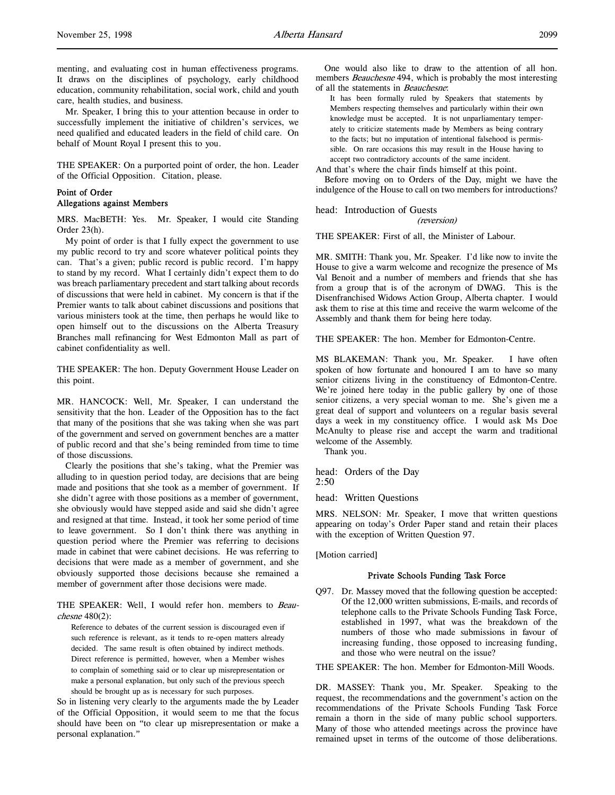menting, and evaluating cost in human effectiveness programs. It draws on the disciplines of psychology, early childhood education, community rehabilitation, social work, child and youth care, health studies, and business.

Mr. Speaker, I bring this to your attention because in order to successfully implement the initiative of children's services, we need qualified and educated leaders in the field of child care. On behalf of Mount Royal I present this to you.

THE SPEAKER: On a purported point of order, the hon. Leader of the Official Opposition. Citation, please.

# Point of Order Allegations against Members

MRS. MacBETH: Yes. Mr. Speaker, I would cite Standing Order 23(h).

My point of order is that I fully expect the government to use my public record to try and score whatever political points they can. That's a given; public record is public record. I'm happy to stand by my record. What I certainly didn't expect them to do was breach parliamentary precedent and start talking about records of discussions that were held in cabinet. My concern is that if the Premier wants to talk about cabinet discussions and positions that various ministers took at the time, then perhaps he would like to open himself out to the discussions on the Alberta Treasury Branches mall refinancing for West Edmonton Mall as part of cabinet confidentiality as well.

THE SPEAKER: The hon. Deputy Government House Leader on this point.

MR. HANCOCK: Well, Mr. Speaker, I can understand the sensitivity that the hon. Leader of the Opposition has to the fact that many of the positions that she was taking when she was part of the government and served on government benches are a matter of public record and that she's being reminded from time to time of those discussions.

Clearly the positions that she's taking, what the Premier was alluding to in question period today, are decisions that are being made and positions that she took as a member of government. If she didn't agree with those positions as a member of government, she obviously would have stepped aside and said she didn't agree and resigned at that time. Instead, it took her some period of time to leave government. So I don't think there was anything in question period where the Premier was referring to decisions made in cabinet that were cabinet decisions. He was referring to decisions that were made as a member of government, and she obviously supported those decisions because she remained a member of government after those decisions were made.

THE SPEAKER: Well, I would refer hon. members to Beauchesne 480(2):

Reference to debates of the current session is discouraged even if such reference is relevant, as it tends to re-open matters already decided. The same result is often obtained by indirect methods. Direct reference is permitted, however, when a Member wishes to complain of something said or to clear up misrepresentation or make a personal explanation, but only such of the previous speech should be brought up as is necessary for such purposes.

So in listening very clearly to the arguments made the by Leader of the Official Opposition, it would seem to me that the focus should have been on "to clear up misrepresentation or make a personal explanation."

One would also like to draw to the attention of all hon. members *Beauchesne* 494, which is probably the most interesting of all the statements in Beauchesne:

It has been formally ruled by Speakers that statements by Members respecting themselves and particularly within their own knowledge must be accepted. It is not unparliamentary temperately to criticize statements made by Members as being contrary to the facts; but no imputation of intentional falsehood is permissible. On rare occasions this may result in the House having to accept two contradictory accounts of the same incident.

And that's where the chair finds himself at this point.

Before moving on to Orders of the Day, might we have the indulgence of the House to call on two members for introductions?

head: Introduction of Guests (reversion)

THE SPEAKER: First of all, the Minister of Labour.

MR. SMITH: Thank you, Mr. Speaker. I'd like now to invite the House to give a warm welcome and recognize the presence of Ms Val Benoit and a number of members and friends that she has from a group that is of the acronym of DWAG. This is the Disenfranchised Widows Action Group, Alberta chapter. I would ask them to rise at this time and receive the warm welcome of the Assembly and thank them for being here today.

THE SPEAKER: The hon. Member for Edmonton-Centre.

MS BLAKEMAN: Thank you, Mr. Speaker. I have often spoken of how fortunate and honoured I am to have so many senior citizens living in the constituency of Edmonton-Centre. We're joined here today in the public gallery by one of those senior citizens, a very special woman to me. She's given me a great deal of support and volunteers on a regular basis several days a week in my constituency office. I would ask Ms Doe McAnulty to please rise and accept the warm and traditional welcome of the Assembly.

Thank you.

head: Orders of the Day 2:50

head: Written Questions

MRS. NELSON: Mr. Speaker, I move that written questions appearing on today's Order Paper stand and retain their places with the exception of Written Question 97.

[Motion carried]

## Private Schools Funding Task Force

Q97. Dr. Massey moved that the following question be accepted: Of the 12,000 written submissions, E-mails, and records of telephone calls to the Private Schools Funding Task Force, established in 1997, what was the breakdown of the numbers of those who made submissions in favour of increasing funding, those opposed to increasing funding, and those who were neutral on the issue?

THE SPEAKER: The hon. Member for Edmonton-Mill Woods.

DR. MASSEY: Thank you, Mr. Speaker. Speaking to the request, the recommendations and the government's action on the recommendations of the Private Schools Funding Task Force remain a thorn in the side of many public school supporters. Many of those who attended meetings across the province have remained upset in terms of the outcome of those deliberations.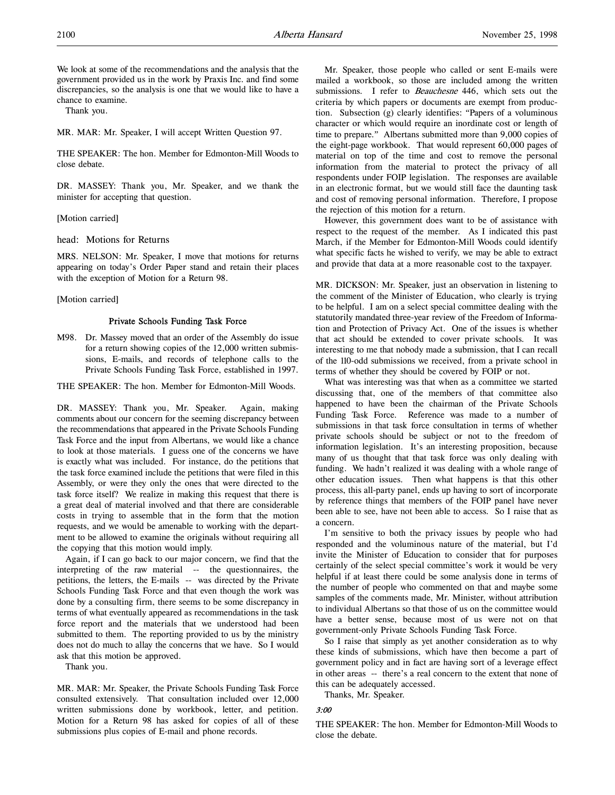We look at some of the recommendations and the analysis that the government provided us in the work by Praxis Inc. and find some discrepancies, so the analysis is one that we would like to have a chance to examine.

Thank you.

MR. MAR: Mr. Speaker, I will accept Written Question 97.

THE SPEAKER: The hon. Member for Edmonton-Mill Woods to close debate.

DR. MASSEY: Thank you, Mr. Speaker, and we thank the minister for accepting that question.

[Motion carried]

head: Motions for Returns

MRS. NELSON: Mr. Speaker, I move that motions for returns appearing on today's Order Paper stand and retain their places with the exception of Motion for a Return 98.

#### [Motion carried]

## Private Schools Funding Task Force

M98. Dr. Massey moved that an order of the Assembly do issue for a return showing copies of the 12,000 written submissions, E-mails, and records of telephone calls to the Private Schools Funding Task Force, established in 1997.

THE SPEAKER: The hon. Member for Edmonton-Mill Woods.

DR. MASSEY: Thank you, Mr. Speaker. Again, making comments about our concern for the seeming discrepancy between the recommendations that appeared in the Private Schools Funding Task Force and the input from Albertans, we would like a chance to look at those materials. I guess one of the concerns we have is exactly what was included. For instance, do the petitions that the task force examined include the petitions that were filed in this Assembly, or were they only the ones that were directed to the task force itself? We realize in making this request that there is a great deal of material involved and that there are considerable costs in trying to assemble that in the form that the motion requests, and we would be amenable to working with the department to be allowed to examine the originals without requiring all the copying that this motion would imply.

Again, if I can go back to our major concern, we find that the interpreting of the raw material -- the questionnaires, the petitions, the letters, the E-mails -- was directed by the Private Schools Funding Task Force and that even though the work was done by a consulting firm, there seems to be some discrepancy in terms of what eventually appeared as recommendations in the task force report and the materials that we understood had been submitted to them. The reporting provided to us by the ministry does not do much to allay the concerns that we have. So I would ask that this motion be approved.

Thank you.

MR. MAR: Mr. Speaker, the Private Schools Funding Task Force consulted extensively. That consultation included over 12,000 written submissions done by workbook, letter, and petition. Motion for a Return 98 has asked for copies of all of these submissions plus copies of E-mail and phone records.

Mr. Speaker, those people who called or sent E-mails were mailed a workbook, so those are included among the written submissions. I refer to Beauchesne 446, which sets out the criteria by which papers or documents are exempt from production. Subsection (g) clearly identifies: "Papers of a voluminous character or which would require an inordinate cost or length of time to prepare." Albertans submitted more than 9,000 copies of the eight-page workbook. That would represent 60,000 pages of material on top of the time and cost to remove the personal information from the material to protect the privacy of all respondents under FOIP legislation. The responses are available in an electronic format, but we would still face the daunting task and cost of removing personal information. Therefore, I propose the rejection of this motion for a return.

However, this government does want to be of assistance with respect to the request of the member. As I indicated this past March, if the Member for Edmonton-Mill Woods could identify what specific facts he wished to verify, we may be able to extract and provide that data at a more reasonable cost to the taxpayer.

MR. DICKSON: Mr. Speaker, just an observation in listening to the comment of the Minister of Education, who clearly is trying to be helpful. I am on a select special committee dealing with the statutorily mandated three-year review of the Freedom of Information and Protection of Privacy Act. One of the issues is whether that act should be extended to cover private schools. It was interesting to me that nobody made a submission, that I can recall of the 110-odd submissions we received, from a private school in terms of whether they should be covered by FOIP or not.

What was interesting was that when as a committee we started discussing that, one of the members of that committee also happened to have been the chairman of the Private Schools Funding Task Force. Reference was made to a number of submissions in that task force consultation in terms of whether private schools should be subject or not to the freedom of information legislation. It's an interesting proposition, because many of us thought that that task force was only dealing with funding. We hadn't realized it was dealing with a whole range of other education issues. Then what happens is that this other process, this all-party panel, ends up having to sort of incorporate by reference things that members of the FOIP panel have never been able to see, have not been able to access. So I raise that as a concern.

I'm sensitive to both the privacy issues by people who had responded and the voluminous nature of the material, but I'd invite the Minister of Education to consider that for purposes certainly of the select special committee's work it would be very helpful if at least there could be some analysis done in terms of the number of people who commented on that and maybe some samples of the comments made, Mr. Minister, without attribution to individual Albertans so that those of us on the committee would have a better sense, because most of us were not on that government-only Private Schools Funding Task Force.

So I raise that simply as yet another consideration as to why these kinds of submissions, which have then become a part of government policy and in fact are having sort of a leverage effect in other areas -- there's a real concern to the extent that none of this can be adequately accessed.

Thanks, Mr. Speaker.

#### 3:00

THE SPEAKER: The hon. Member for Edmonton-Mill Woods to close the debate.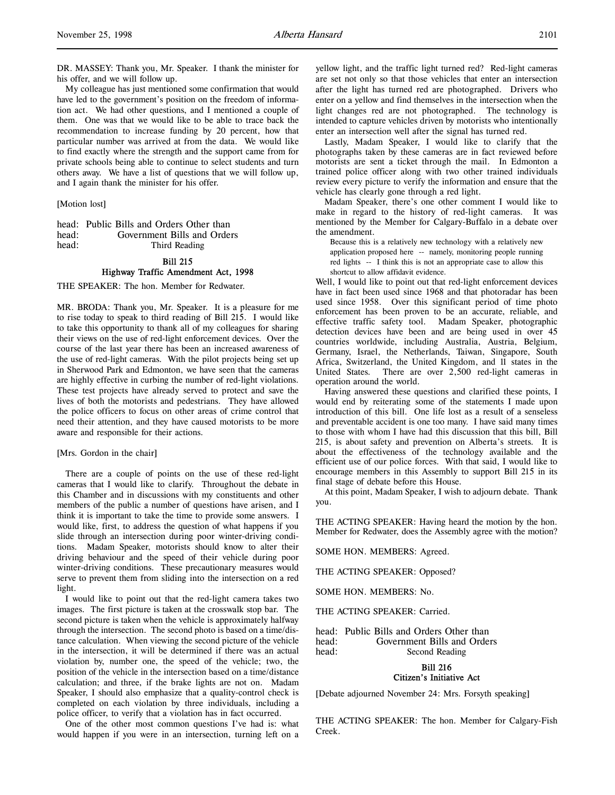DR. MASSEY: Thank you, Mr. Speaker. I thank the minister for his offer, and we will follow up.

My colleague has just mentioned some confirmation that would have led to the government's position on the freedom of information act. We had other questions, and I mentioned a couple of them. One was that we would like to be able to trace back the recommendation to increase funding by 20 percent, how that particular number was arrived at from the data. We would like to find exactly where the strength and the support came from for private schools being able to continue to select students and turn others away. We have a list of questions that we will follow up, and I again thank the minister for his offer.

[Motion lost]

head: Public Bills and Orders Other than head: Government Bills and Orders head: Third Reading

#### Bill 215

# Highway Traffic Amendment Act, 1998

THE SPEAKER: The hon. Member for Redwater.

MR. BRODA: Thank you, Mr. Speaker. It is a pleasure for me to rise today to speak to third reading of Bill 215. I would like to take this opportunity to thank all of my colleagues for sharing their views on the use of red-light enforcement devices. Over the course of the last year there has been an increased awareness of the use of red-light cameras. With the pilot projects being set up in Sherwood Park and Edmonton, we have seen that the cameras are highly effective in curbing the number of red-light violations. These test projects have already served to protect and save the lives of both the motorists and pedestrians. They have allowed the police officers to focus on other areas of crime control that need their attention, and they have caused motorists to be more aware and responsible for their actions.

## [Mrs. Gordon in the chair]

There are a couple of points on the use of these red-light cameras that I would like to clarify. Throughout the debate in this Chamber and in discussions with my constituents and other members of the public a number of questions have arisen, and I think it is important to take the time to provide some answers. I would like, first, to address the question of what happens if you slide through an intersection during poor winter-driving conditions. Madam Speaker, motorists should know to alter their driving behaviour and the speed of their vehicle during poor winter-driving conditions. These precautionary measures would serve to prevent them from sliding into the intersection on a red light.

I would like to point out that the red-light camera takes two images. The first picture is taken at the crosswalk stop bar. The second picture is taken when the vehicle is approximately halfway through the intersection. The second photo is based on a time/distance calculation. When viewing the second picture of the vehicle in the intersection, it will be determined if there was an actual violation by, number one, the speed of the vehicle; two, the position of the vehicle in the intersection based on a time/distance calculation; and three, if the brake lights are not on. Madam Speaker, I should also emphasize that a quality-control check is completed on each violation by three individuals, including a police officer, to verify that a violation has in fact occurred.

One of the other most common questions I've had is: what would happen if you were in an intersection, turning left on a

yellow light, and the traffic light turned red? Red-light cameras are set not only so that those vehicles that enter an intersection after the light has turned red are photographed. Drivers who enter on a yellow and find themselves in the intersection when the light changes red are not photographed. The technology is intended to capture vehicles driven by motorists who intentionally enter an intersection well after the signal has turned red.

Lastly, Madam Speaker, I would like to clarify that the photographs taken by these cameras are in fact reviewed before motorists are sent a ticket through the mail. In Edmonton a trained police officer along with two other trained individuals review every picture to verify the information and ensure that the vehicle has clearly gone through a red light.

Madam Speaker, there's one other comment I would like to make in regard to the history of red-light cameras. It was mentioned by the Member for Calgary-Buffalo in a debate over the amendment.

Because this is a relatively new technology with a relatively new application proposed here -- namely, monitoring people running red lights -- I think this is not an appropriate case to allow this shortcut to allow affidavit evidence.

Well, I would like to point out that red-light enforcement devices have in fact been used since 1968 and that photoradar has been used since 1958. Over this significant period of time photo enforcement has been proven to be an accurate, reliable, and effective traffic safety tool. Madam Speaker, photographic detection devices have been and are being used in over 45 countries worldwide, including Australia, Austria, Belgium, Germany, Israel, the Netherlands, Taiwan, Singapore, South Africa, Switzerland, the United Kingdom, and 11 states in the United States. There are over 2,500 red-light cameras in operation around the world.

Having answered these questions and clarified these points, I would end by reiterating some of the statements I made upon introduction of this bill. One life lost as a result of a senseless and preventable accident is one too many. I have said many times to those with whom I have had this discussion that this bill, Bill 215, is about safety and prevention on Alberta's streets. It is about the effectiveness of the technology available and the efficient use of our police forces. With that said, I would like to encourage members in this Assembly to support Bill 215 in its final stage of debate before this House.

At this point, Madam Speaker, I wish to adjourn debate. Thank you.

THE ACTING SPEAKER: Having heard the motion by the hon. Member for Redwater, does the Assembly agree with the motion?

SOME HON. MEMBERS: Agreed.

THE ACTING SPEAKER: Opposed?

SOME HON. MEMBERS: No.

THE ACTING SPEAKER: Carried.

head: Public Bills and Orders Other than<br>head: Government Bills and Order Government Bills and Orders head: Second Reading

## Bill 216 Citizen's Initiative Act

[Debate adjourned November 24: Mrs. Forsyth speaking]

THE ACTING SPEAKER: The hon. Member for Calgary-Fish Creek.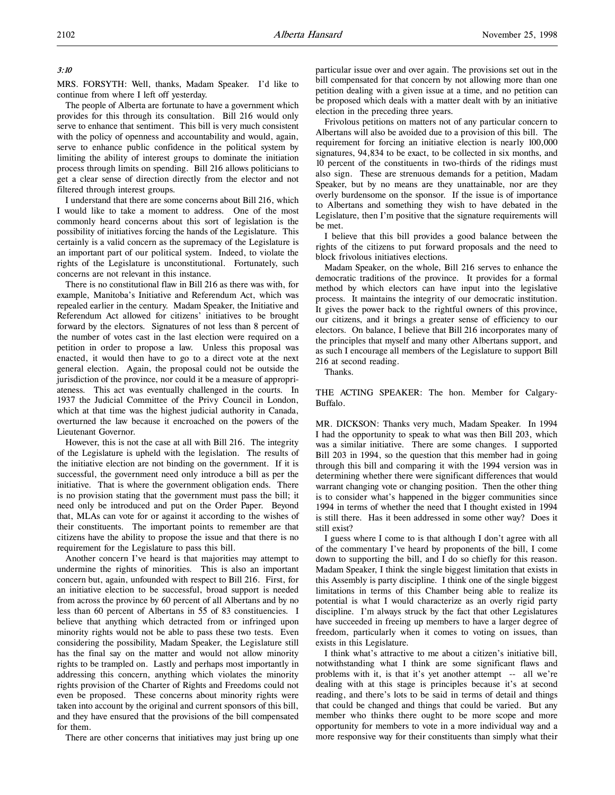## 3:10

MRS. FORSYTH: Well, thanks, Madam Speaker. I'd like to continue from where I left off yesterday.

The people of Alberta are fortunate to have a government which provides for this through its consultation. Bill 216 would only serve to enhance that sentiment. This bill is very much consistent with the policy of openness and accountability and would, again, serve to enhance public confidence in the political system by limiting the ability of interest groups to dominate the initiation process through limits on spending. Bill 216 allows politicians to get a clear sense of direction directly from the elector and not filtered through interest groups.

I understand that there are some concerns about Bill 216, which I would like to take a moment to address. One of the most commonly heard concerns about this sort of legislation is the possibility of initiatives forcing the hands of the Legislature. This certainly is a valid concern as the supremacy of the Legislature is an important part of our political system. Indeed, to violate the rights of the Legislature is unconstitutional. Fortunately, such concerns are not relevant in this instance.

There is no constitutional flaw in Bill 216 as there was with, for example, Manitoba's Initiative and Referendum Act, which was repealed earlier in the century. Madam Speaker, the Initiative and Referendum Act allowed for citizens' initiatives to be brought forward by the electors. Signatures of not less than 8 percent of the number of votes cast in the last election were required on a petition in order to propose a law. Unless this proposal was enacted, it would then have to go to a direct vote at the next general election. Again, the proposal could not be outside the jurisdiction of the province, nor could it be a measure of appropriateness. This act was eventually challenged in the courts. In 1937 the Judicial Committee of the Privy Council in London, which at that time was the highest judicial authority in Canada, overturned the law because it encroached on the powers of the Lieutenant Governor.

However, this is not the case at all with Bill 216. The integrity of the Legislature is upheld with the legislation. The results of the initiative election are not binding on the government. If it is successful, the government need only introduce a bill as per the initiative. That is where the government obligation ends. There is no provision stating that the government must pass the bill; it need only be introduced and put on the Order Paper. Beyond that, MLAs can vote for or against it according to the wishes of their constituents. The important points to remember are that citizens have the ability to propose the issue and that there is no requirement for the Legislature to pass this bill.

Another concern I've heard is that majorities may attempt to undermine the rights of minorities. This is also an important concern but, again, unfounded with respect to Bill 216. First, for an initiative election to be successful, broad support is needed from across the province by 60 percent of all Albertans and by no less than 60 percent of Albertans in 55 of 83 constituencies. I believe that anything which detracted from or infringed upon minority rights would not be able to pass these two tests. Even considering the possibility, Madam Speaker, the Legislature still has the final say on the matter and would not allow minority rights to be trampled on. Lastly and perhaps most importantly in addressing this concern, anything which violates the minority rights provision of the Charter of Rights and Freedoms could not even be proposed. These concerns about minority rights were taken into account by the original and current sponsors of this bill, and they have ensured that the provisions of the bill compensated for them.

There are other concerns that initiatives may just bring up one

particular issue over and over again. The provisions set out in the bill compensated for that concern by not allowing more than one petition dealing with a given issue at a time, and no petition can be proposed which deals with a matter dealt with by an initiative election in the preceding three years.

Frivolous petitions on matters not of any particular concern to Albertans will also be avoided due to a provision of this bill. The requirement for forcing an initiative election is nearly 100,000 signatures, 94,834 to be exact, to be collected in six months, and 10 percent of the constituents in two-thirds of the ridings must also sign. These are strenuous demands for a petition, Madam Speaker, but by no means are they unattainable, nor are they overly burdensome on the sponsor. If the issue is of importance to Albertans and something they wish to have debated in the Legislature, then I'm positive that the signature requirements will be met.

I believe that this bill provides a good balance between the rights of the citizens to put forward proposals and the need to block frivolous initiatives elections.

Madam Speaker, on the whole, Bill 216 serves to enhance the democratic traditions of the province. It provides for a formal method by which electors can have input into the legislative process. It maintains the integrity of our democratic institution. It gives the power back to the rightful owners of this province, our citizens, and it brings a greater sense of efficiency to our electors. On balance, I believe that Bill 216 incorporates many of the principles that myself and many other Albertans support, and as such I encourage all members of the Legislature to support Bill 216 at second reading.

Thanks.

THE ACTING SPEAKER: The hon. Member for Calgary-Buffalo.

MR. DICKSON: Thanks very much, Madam Speaker. In 1994 I had the opportunity to speak to what was then Bill 203, which was a similar initiative. There are some changes. I supported Bill 203 in 1994, so the question that this member had in going through this bill and comparing it with the 1994 version was in determining whether there were significant differences that would warrant changing vote or changing position. Then the other thing is to consider what's happened in the bigger communities since 1994 in terms of whether the need that I thought existed in 1994 is still there. Has it been addressed in some other way? Does it still exist?

I guess where I come to is that although I don't agree with all of the commentary I've heard by proponents of the bill, I come down to supporting the bill, and I do so chiefly for this reason. Madam Speaker, I think the single biggest limitation that exists in this Assembly is party discipline. I think one of the single biggest limitations in terms of this Chamber being able to realize its potential is what I would characterize as an overly rigid party discipline. I'm always struck by the fact that other Legislatures have succeeded in freeing up members to have a larger degree of freedom, particularly when it comes to voting on issues, than exists in this Legislature.

I think what's attractive to me about a citizen's initiative bill, notwithstanding what I think are some significant flaws and problems with it, is that it's yet another attempt -- all we're dealing with at this stage is principles because it's at second reading, and there's lots to be said in terms of detail and things that could be changed and things that could be varied. But any member who thinks there ought to be more scope and more opportunity for members to vote in a more individual way and a more responsive way for their constituents than simply what their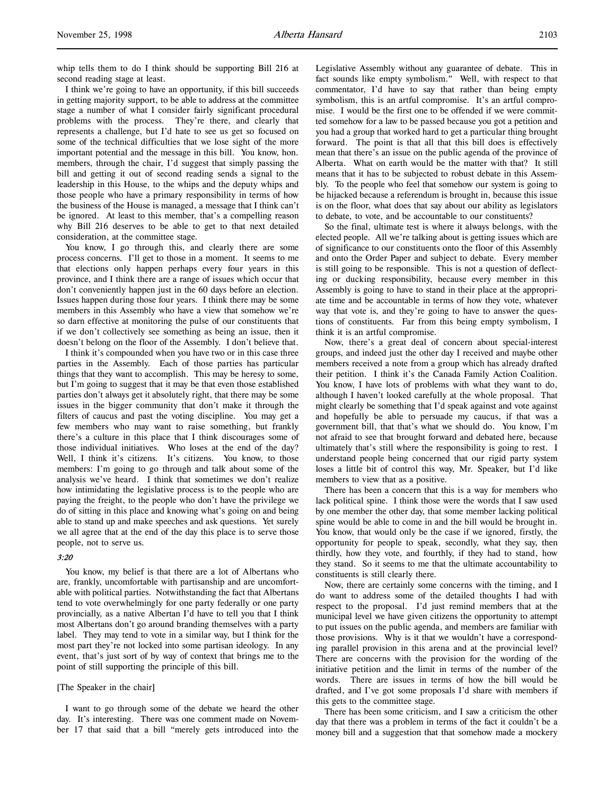whip tells them to do I think should be supporting Bill 216 at second reading stage at least.

I think we're going to have an opportunity, if this bill succeeds in getting majority support, to be able to address at the committee stage a number of what I consider fairly significant procedural problems with the process. They're there, and clearly that represents a challenge, but I'd hate to see us get so focused on some of the technical difficulties that we lose sight of the more important potential and the message in this bill. You know, hon. members, through the chair, I'd suggest that simply passing the bill and getting it out of second reading sends a signal to the leadership in this House, to the whips and the deputy whips and those people who have a primary responsibility in terms of how the business of the House is managed, a message that I think can't be ignored. At least to this member, that's a compelling reason why Bill 216 deserves to be able to get to that next detailed consideration, at the committee stage.

You know, I go through this, and clearly there are some process concerns. I'll get to those in a moment. It seems to me that elections only happen perhaps every four years in this province, and I think there are a range of issues which occur that don't conveniently happen just in the 60 days before an election. Issues happen during those four years. I think there may be some members in this Assembly who have a view that somehow we're so darn effective at monitoring the pulse of our constituents that if we don't collectively see something as being an issue, then it doesn't belong on the floor of the Assembly. I don't believe that.

I think it's compounded when you have two or in this case three parties in the Assembly. Each of those parties has particular things that they want to accomplish. This may be heresy to some, but I'm going to suggest that it may be that even those established parties don't always get it absolutely right, that there may be some issues in the bigger community that don't make it through the filters of caucus and past the voting discipline. You may get a few members who may want to raise something, but frankly there's a culture in this place that I think discourages some of those individual initiatives. Who loses at the end of the day? Well, I think it's citizens. It's citizens. You know, to those members: I'm going to go through and talk about some of the analysis we've heard. I think that sometimes we don't realize how intimidating the legislative process is to the people who are paying the freight, to the people who don't have the privilege we do of sitting in this place and knowing what's going on and being able to stand up and make speeches and ask questions. Yet surely we all agree that at the end of the day this place is to serve those people, not to serve us.

# 3:20

You know, my belief is that there are a lot of Albertans who are, frankly, uncomfortable with partisanship and are uncomfortable with political parties. Notwithstanding the fact that Albertans tend to vote overwhelmingly for one party federally or one party provincially, as a native Albertan I'd have to tell you that I think most Albertans don't go around branding themselves with a party label. They may tend to vote in a similar way, but I think for the most part they're not locked into some partisan ideology. In any event, that's just sort of by way of context that brings me to the point of still supporting the principle of this bill.

## [The Speaker in the chair]

I want to go through some of the debate we heard the other day. It's interesting. There was one comment made on November 17 that said that a bill "merely gets introduced into the

Legislative Assembly without any guarantee of debate. This in fact sounds like empty symbolism." Well, with respect to that commentator, I'd have to say that rather than being empty symbolism, this is an artful compromise. It's an artful compromise. I would be the first one to be offended if we were committed somehow for a law to be passed because you got a petition and you had a group that worked hard to get a particular thing brought forward. The point is that all that this bill does is effectively mean that there's an issue on the public agenda of the province of Alberta. What on earth would be the matter with that? It still means that it has to be subjected to robust debate in this Assembly. To the people who feel that somehow our system is going to be hijacked because a referendum is brought in, because this issue is on the floor, what does that say about our ability as legislators to debate, to vote, and be accountable to our constituents?

So the final, ultimate test is where it always belongs, with the elected people. All we're talking about is getting issues which are of significance to our constituents onto the floor of this Assembly and onto the Order Paper and subject to debate. Every member is still going to be responsible. This is not a question of deflecting or ducking responsibility, because every member in this Assembly is going to have to stand in their place at the appropriate time and be accountable in terms of how they vote, whatever way that vote is, and they're going to have to answer the questions of constituents. Far from this being empty symbolism, I think it is an artful compromise.

Now, there's a great deal of concern about special-interest groups, and indeed just the other day I received and maybe other members received a note from a group which has already drafted their petition. I think it's the Canada Family Action Coalition. You know, I have lots of problems with what they want to do, although I haven't looked carefully at the whole proposal. That might clearly be something that I'd speak against and vote against and hopefully be able to persuade my caucus, if that was a government bill, that that's what we should do. You know, I'm not afraid to see that brought forward and debated here, because ultimately that's still where the responsibility is going to rest. I understand people being concerned that our rigid party system loses a little bit of control this way, Mr. Speaker, but I'd like members to view that as a positive.

There has been a concern that this is a way for members who lack political spine. I think those were the words that I saw used by one member the other day, that some member lacking political spine would be able to come in and the bill would be brought in. You know, that would only be the case if we ignored, firstly, the opportunity for people to speak, secondly, what they say, then thirdly, how they vote, and fourthly, if they had to stand, how they stand. So it seems to me that the ultimate accountability to constituents is still clearly there.

Now, there are certainly some concerns with the timing, and I do want to address some of the detailed thoughts I had with respect to the proposal. I'd just remind members that at the municipal level we have given citizens the opportunity to attempt to put issues on the public agenda, and members are familiar with those provisions. Why is it that we wouldn't have a corresponding parallel provision in this arena and at the provincial level? There are concerns with the provision for the wording of the initiative petition and the limit in terms of the number of the words. There are issues in terms of how the bill would be drafted, and I've got some proposals I'd share with members if this gets to the committee stage.

There has been some criticism, and I saw a criticism the other day that there was a problem in terms of the fact it couldn't be a money bill and a suggestion that that somehow made a mockery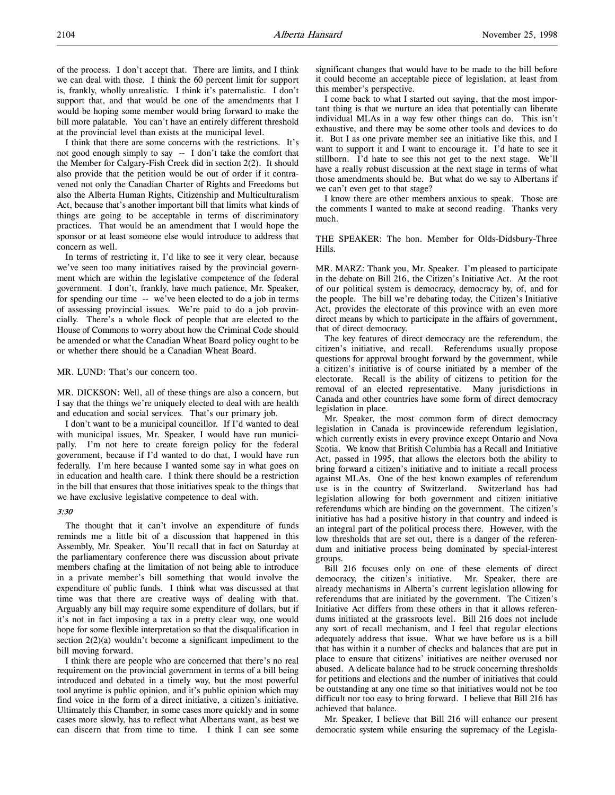I think that there are some concerns with the restrictions. It's not good enough simply to say -- I don't take the comfort that the Member for Calgary-Fish Creek did in section 2(2). It should also provide that the petition would be out of order if it contravened not only the Canadian Charter of Rights and Freedoms but also the Alberta Human Rights, Citizenship and Multiculturalism Act, because that's another important bill that limits what kinds of things are going to be acceptable in terms of discriminatory practices. That would be an amendment that I would hope the sponsor or at least someone else would introduce to address that concern as well.

In terms of restricting it, I'd like to see it very clear, because we've seen too many initiatives raised by the provincial government which are within the legislative competence of the federal government. I don't, frankly, have much patience, Mr. Speaker, for spending our time -- we've been elected to do a job in terms of assessing provincial issues. We're paid to do a job provincially. There's a whole flock of people that are elected to the House of Commons to worry about how the Criminal Code should be amended or what the Canadian Wheat Board policy ought to be or whether there should be a Canadian Wheat Board.

# MR. LUND: That's our concern too.

MR. DICKSON: Well, all of these things are also a concern, but I say that the things we're uniquely elected to deal with are health and education and social services. That's our primary job.

I don't want to be a municipal councillor. If I'd wanted to deal with municipal issues, Mr. Speaker, I would have run municipally. I'm not here to create foreign policy for the federal government, because if I'd wanted to do that, I would have run federally. I'm here because I wanted some say in what goes on in education and health care. I think there should be a restriction in the bill that ensures that those initiatives speak to the things that we have exclusive legislative competence to deal with.

## 3:30

The thought that it can't involve an expenditure of funds reminds me a little bit of a discussion that happened in this Assembly, Mr. Speaker. You'll recall that in fact on Saturday at the parliamentary conference there was discussion about private members chafing at the limitation of not being able to introduce in a private member's bill something that would involve the expenditure of public funds. I think what was discussed at that time was that there are creative ways of dealing with that. Arguably any bill may require some expenditure of dollars, but if it's not in fact imposing a tax in a pretty clear way, one would hope for some flexible interpretation so that the disqualification in section 2(2)(a) wouldn't become a significant impediment to the bill moving forward.

I think there are people who are concerned that there's no real requirement on the provincial government in terms of a bill being introduced and debated in a timely way, but the most powerful tool anytime is public opinion, and it's public opinion which may find voice in the form of a direct initiative, a citizen's initiative. Ultimately this Chamber, in some cases more quickly and in some cases more slowly, has to reflect what Albertans want, as best we can discern that from time to time. I think I can see some

significant changes that would have to be made to the bill before it could become an acceptable piece of legislation, at least from this member's perspective.

I come back to what I started out saying, that the most important thing is that we nurture an idea that potentially can liberate individual MLAs in a way few other things can do. This isn't exhaustive, and there may be some other tools and devices to do it. But I as one private member see an initiative like this, and I want to support it and I want to encourage it. I'd hate to see it stillborn. I'd hate to see this not get to the next stage. We'll have a really robust discussion at the next stage in terms of what those amendments should be. But what do we say to Albertans if we can't even get to that stage?

I know there are other members anxious to speak. Those are the comments I wanted to make at second reading. Thanks very much.

THE SPEAKER: The hon. Member for Olds-Didsbury-Three Hills.

MR. MARZ: Thank you, Mr. Speaker. I'm pleased to participate in the debate on Bill 216, the Citizen's Initiative Act. At the root of our political system is democracy, democracy by, of, and for the people. The bill we're debating today, the Citizen's Initiative Act, provides the electorate of this province with an even more direct means by which to participate in the affairs of government, that of direct democracy.

The key features of direct democracy are the referendum, the citizen's initiative, and recall. Referendums usually propose questions for approval brought forward by the government, while a citizen's initiative is of course initiated by a member of the electorate. Recall is the ability of citizens to petition for the removal of an elected representative. Many jurisdictions in Canada and other countries have some form of direct democracy legislation in place.

Mr. Speaker, the most common form of direct democracy legislation in Canada is provincewide referendum legislation, which currently exists in every province except Ontario and Nova Scotia. We know that British Columbia has a Recall and Initiative Act, passed in 1995, that allows the electors both the ability to bring forward a citizen's initiative and to initiate a recall process against MLAs. One of the best known examples of referendum use is in the country of Switzerland. Switzerland has had legislation allowing for both government and citizen initiative referendums which are binding on the government. The citizen's initiative has had a positive history in that country and indeed is an integral part of the political process there. However, with the low thresholds that are set out, there is a danger of the referendum and initiative process being dominated by special-interest groups.

Bill 216 focuses only on one of these elements of direct democracy, the citizen's initiative. Mr. Speaker, there are already mechanisms in Alberta's current legislation allowing for referendums that are initiated by the government. The Citizen's Initiative Act differs from these others in that it allows referendums initiated at the grassroots level. Bill 216 does not include any sort of recall mechanism, and I feel that regular elections adequately address that issue. What we have before us is a bill that has within it a number of checks and balances that are put in place to ensure that citizens' initiatives are neither overused nor abused. A delicate balance had to be struck concerning thresholds for petitions and elections and the number of initiatives that could be outstanding at any one time so that initiatives would not be too difficult nor too easy to bring forward. I believe that Bill 216 has achieved that balance.

Mr. Speaker, I believe that Bill 216 will enhance our present democratic system while ensuring the supremacy of the Legisla-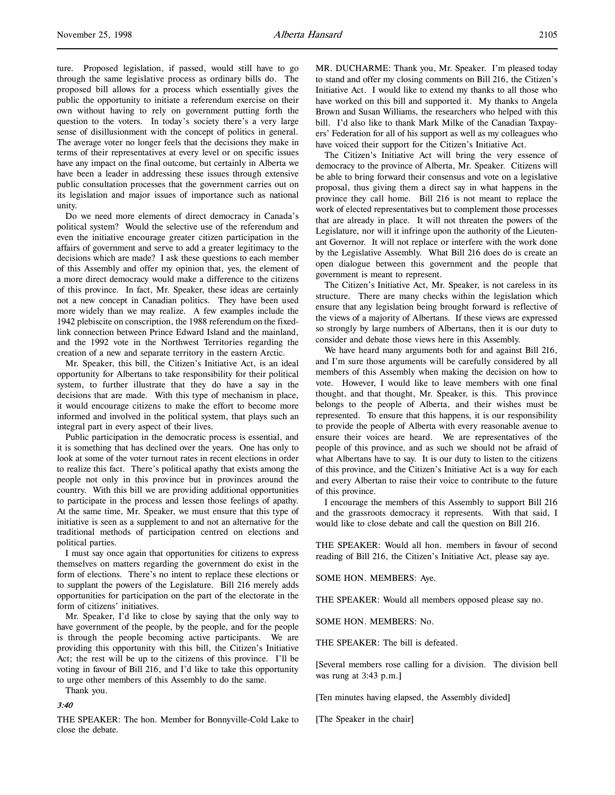ture. Proposed legislation, if passed, would still have to go through the same legislative process as ordinary bills do. The proposed bill allows for a process which essentially gives the public the opportunity to initiate a referendum exercise on their own without having to rely on government putting forth the question to the voters. In today's society there's a very large sense of disillusionment with the concept of politics in general. The average voter no longer feels that the decisions they make in terms of their representatives at every level or on specific issues have any impact on the final outcome, but certainly in Alberta we have been a leader in addressing these issues through extensive public consultation processes that the government carries out on its legislation and major issues of importance such as national unity.

Do we need more elements of direct democracy in Canada's political system? Would the selective use of the referendum and even the initiative encourage greater citizen participation in the affairs of government and serve to add a greater legitimacy to the decisions which are made? I ask these questions to each member of this Assembly and offer my opinion that, yes, the element of a more direct democracy would make a difference to the citizens of this province. In fact, Mr. Speaker, these ideas are certainly not a new concept in Canadian politics. They have been used more widely than we may realize. A few examples include the 1942 plebiscite on conscription, the 1988 referendum on the fixedlink connection between Prince Edward Island and the mainland, and the 1992 vote in the Northwest Territories regarding the creation of a new and separate territory in the eastern Arctic.

Mr. Speaker, this bill, the Citizen's Initiative Act, is an ideal opportunity for Albertans to take responsibility for their political system, to further illustrate that they do have a say in the decisions that are made. With this type of mechanism in place, it would encourage citizens to make the effort to become more informed and involved in the political system, that plays such an integral part in every aspect of their lives.

Public participation in the democratic process is essential, and it is something that has declined over the years. One has only to look at some of the voter turnout rates in recent elections in order to realize this fact. There's political apathy that exists among the people not only in this province but in provinces around the country. With this bill we are providing additional opportunities to participate in the process and lessen those feelings of apathy. At the same time, Mr. Speaker, we must ensure that this type of initiative is seen as a supplement to and not an alternative for the traditional methods of participation centred on elections and political parties.

I must say once again that opportunities for citizens to express themselves on matters regarding the government do exist in the form of elections. There's no intent to replace these elections or to supplant the powers of the Legislature. Bill 216 merely adds opportunities for participation on the part of the electorate in the form of citizens' initiatives.

Mr. Speaker, I'd like to close by saying that the only way to have government of the people, by the people, and for the people is through the people becoming active participants. We are providing this opportunity with this bill, the Citizen's Initiative Act; the rest will be up to the citizens of this province. I'll be voting in favour of Bill 216, and I'd like to take this opportunity to urge other members of this Assembly to do the same.

Thank you.

# 3:40

THE SPEAKER: The hon. Member for Bonnyville-Cold Lake to close the debate.

MR. DUCHARME: Thank you, Mr. Speaker. I'm pleased today to stand and offer my closing comments on Bill 216, the Citizen's Initiative Act. I would like to extend my thanks to all those who have worked on this bill and supported it. My thanks to Angela Brown and Susan Williams, the researchers who helped with this bill. I'd also like to thank Mark Milke of the Canadian Taxpayers' Federation for all of his support as well as my colleagues who have voiced their support for the Citizen's Initiative Act.

The Citizen's Initiative Act will bring the very essence of democracy to the province of Alberta, Mr. Speaker. Citizens will be able to bring forward their consensus and vote on a legislative proposal, thus giving them a direct say in what happens in the province they call home. Bill 216 is not meant to replace the work of elected representatives but to complement those processes that are already in place. It will not threaten the powers of the Legislature, nor will it infringe upon the authority of the Lieutenant Governor. It will not replace or interfere with the work done by the Legislative Assembly. What Bill 216 does do is create an open dialogue between this government and the people that government is meant to represent.

The Citizen's Initiative Act, Mr. Speaker, is not careless in its structure. There are many checks within the legislation which ensure that any legislation being brought forward is reflective of the views of a majority of Albertans. If these views are expressed so strongly by large numbers of Albertans, then it is our duty to consider and debate those views here in this Assembly.

We have heard many arguments both for and against Bill 216, and I'm sure those arguments will be carefully considered by all members of this Assembly when making the decision on how to vote. However, I would like to leave members with one final thought, and that thought, Mr. Speaker, is this. This province belongs to the people of Alberta, and their wishes must be represented. To ensure that this happens, it is our responsibility to provide the people of Alberta with every reasonable avenue to ensure their voices are heard. We are representatives of the people of this province, and as such we should not be afraid of what Albertans have to say. It is our duty to listen to the citizens of this province, and the Citizen's Initiative Act is a way for each and every Albertan to raise their voice to contribute to the future of this province.

I encourage the members of this Assembly to support Bill 216 and the grassroots democracy it represents. With that said, I would like to close debate and call the question on Bill 216.

THE SPEAKER: Would all hon. members in favour of second reading of Bill 216, the Citizen's Initiative Act, please say aye.

SOME HON. MEMBERS: Aye.

THE SPEAKER: Would all members opposed please say no.

SOME HON. MEMBERS: No.

THE SPEAKER: The bill is defeated.

[Several members rose calling for a division. The division bell was rung at 3:43 p.m.]

[Ten minutes having elapsed, the Assembly divided]

[The Speaker in the chair]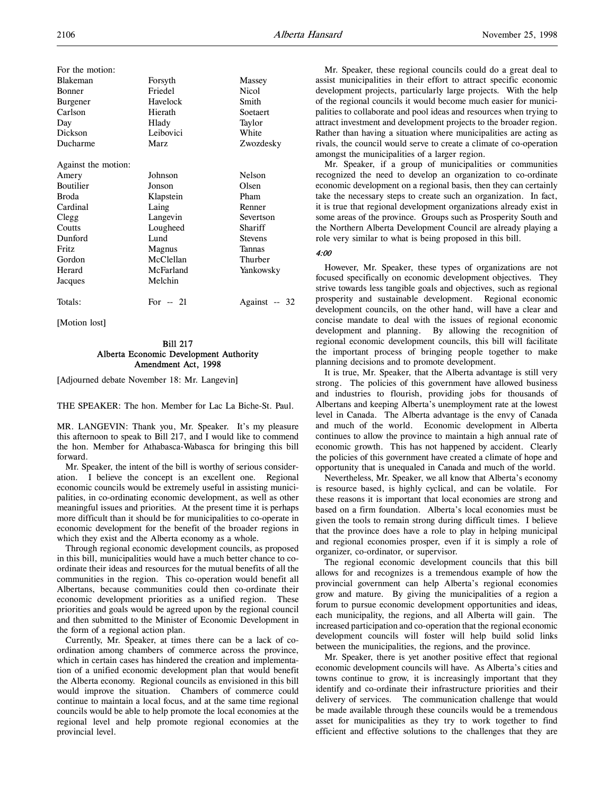| For the motion:     |           |                |
|---------------------|-----------|----------------|
| <b>Blakeman</b>     | Forsyth   | Massey         |
| Bonner              | Friedel   | <b>Nicol</b>   |
| Burgener            | Havelock  | Smith          |
| Carlson             | Hierath   | Soetaert       |
| Day                 | Hlady     | Taylor         |
| Dickson             | Leibovici | White          |
| Ducharme            | Marz      | Zwozdesky      |
| Against the motion: |           |                |
| Amery               | Johnson   | Nelson         |
| <b>Boutilier</b>    | Jonson    | Olsen          |
| <b>Broda</b>        | Klapstein | Pham           |
| Cardinal            | Laing     | Renner         |
| Clegg               | Langevin  | Severtson      |
| Coutts              | Lougheed  | Shariff        |
| Dunford             | Lund      | <b>Stevens</b> |
| Fritz               | Magnus    | Tannas         |
| Gordon              | McClellan | Thurber        |
| Herard              | McFarland | Yankowsky      |
| Jacques             | Melchin   |                |
| Totals:             | For $-21$ | Against -- 32  |

[Motion lost]

# Bill 217 Alberta Economic Development Authority Amendment Act, 1998

[Adjourned debate November 18: Mr. Langevin]

THE SPEAKER: The hon. Member for Lac La Biche-St. Paul.

MR. LANGEVIN: Thank you, Mr. Speaker. It's my pleasure this afternoon to speak to Bill 217, and I would like to commend the hon. Member for Athabasca-Wabasca for bringing this bill forward.

Mr. Speaker, the intent of the bill is worthy of serious consideration. I believe the concept is an excellent one. Regional economic councils would be extremely useful in assisting municipalities, in co-ordinating economic development, as well as other meaningful issues and priorities. At the present time it is perhaps more difficult than it should be for municipalities to co-operate in economic development for the benefit of the broader regions in which they exist and the Alberta economy as a whole.

Through regional economic development councils, as proposed in this bill, municipalities would have a much better chance to coordinate their ideas and resources for the mutual benefits of all the communities in the region. This co-operation would benefit all Albertans, because communities could then co-ordinate their economic development priorities as a unified region. These priorities and goals would be agreed upon by the regional council and then submitted to the Minister of Economic Development in the form of a regional action plan.

Currently, Mr. Speaker, at times there can be a lack of coordination among chambers of commerce across the province, which in certain cases has hindered the creation and implementation of a unified economic development plan that would benefit the Alberta economy. Regional councils as envisioned in this bill would improve the situation. Chambers of commerce could continue to maintain a local focus, and at the same time regional councils would be able to help promote the local economies at the regional level and help promote regional economies at the provincial level.

Mr. Speaker, these regional councils could do a great deal to assist municipalities in their effort to attract specific economic development projects, particularly large projects. With the help of the regional councils it would become much easier for municipalities to collaborate and pool ideas and resources when trying to attract investment and development projects to the broader region. Rather than having a situation where municipalities are acting as rivals, the council would serve to create a climate of co-operation amongst the municipalities of a larger region.

Mr. Speaker, if a group of municipalities or communities recognized the need to develop an organization to co-ordinate economic development on a regional basis, then they can certainly take the necessary steps to create such an organization. In fact, it is true that regional development organizations already exist in some areas of the province. Groups such as Prosperity South and the Northern Alberta Development Council are already playing a role very similar to what is being proposed in this bill.

## 4:00

However, Mr. Speaker, these types of organizations are not focused specifically on economic development objectives. They strive towards less tangible goals and objectives, such as regional prosperity and sustainable development. Regional economic development councils, on the other hand, will have a clear and concise mandate to deal with the issues of regional economic development and planning. By allowing the recognition of regional economic development councils, this bill will facilitate the important process of bringing people together to make planning decisions and to promote development.

It is true, Mr. Speaker, that the Alberta advantage is still very strong. The policies of this government have allowed business and industries to flourish, providing jobs for thousands of Albertans and keeping Alberta's unemployment rate at the lowest level in Canada. The Alberta advantage is the envy of Canada and much of the world. Economic development in Alberta continues to allow the province to maintain a high annual rate of economic growth. This has not happened by accident. Clearly the policies of this government have created a climate of hope and opportunity that is unequaled in Canada and much of the world.

Nevertheless, Mr. Speaker, we all know that Alberta's economy is resource based, is highly cyclical, and can be volatile. For these reasons it is important that local economies are strong and based on a firm foundation. Alberta's local economies must be given the tools to remain strong during difficult times. I believe that the province does have a role to play in helping municipal and regional economies prosper, even if it is simply a role of organizer, co-ordinator, or supervisor.

The regional economic development councils that this bill allows for and recognizes is a tremendous example of how the provincial government can help Alberta's regional economies grow and mature. By giving the municipalities of a region a forum to pursue economic development opportunities and ideas, each municipality, the regions, and all Alberta will gain. The increased participation and co-operation that the regional economic development councils will foster will help build solid links between the municipalities, the regions, and the province.

Mr. Speaker, there is yet another positive effect that regional economic development councils will have. As Alberta's cities and towns continue to grow, it is increasingly important that they identify and co-ordinate their infrastructure priorities and their delivery of services. The communication challenge that would be made available through these councils would be a tremendous asset for municipalities as they try to work together to find efficient and effective solutions to the challenges that they are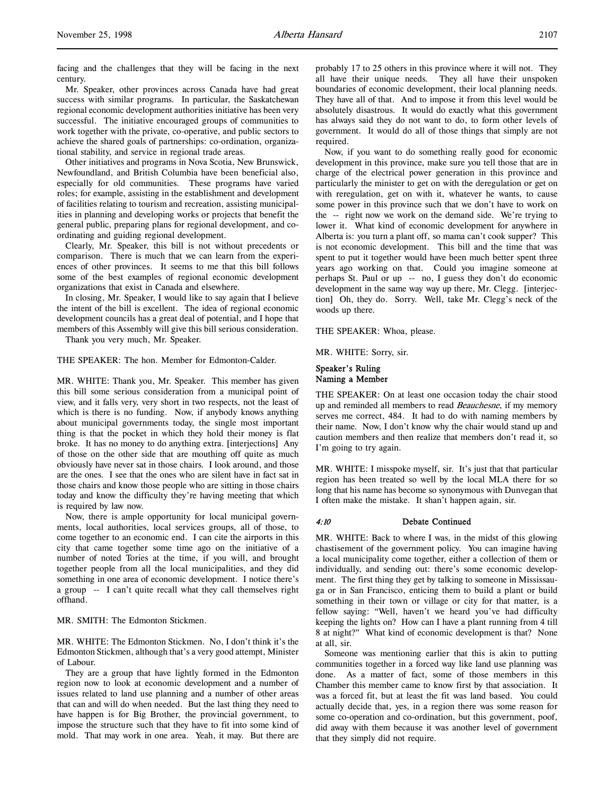facing and the challenges that they will be facing in the next century.

Mr. Speaker, other provinces across Canada have had great success with similar programs. In particular, the Saskatchewan regional economic development authorities initiative has been very successful. The initiative encouraged groups of communities to work together with the private, co-operative, and public sectors to achieve the shared goals of partnerships: co-ordination, organizational stability, and service in regional trade areas.

Other initiatives and programs in Nova Scotia, New Brunswick, Newfoundland, and British Columbia have been beneficial also, especially for old communities. These programs have varied roles; for example, assisting in the establishment and development of facilities relating to tourism and recreation, assisting municipalities in planning and developing works or projects that benefit the general public, preparing plans for regional development, and coordinating and guiding regional development.

Clearly, Mr. Speaker, this bill is not without precedents or comparison. There is much that we can learn from the experiences of other provinces. It seems to me that this bill follows some of the best examples of regional economic development organizations that exist in Canada and elsewhere.

In closing, Mr. Speaker, I would like to say again that I believe the intent of the bill is excellent. The idea of regional economic development councils has a great deal of potential, and I hope that members of this Assembly will give this bill serious consideration.

Thank you very much, Mr. Speaker.

THE SPEAKER: The hon. Member for Edmonton-Calder.

MR. WHITE: Thank you, Mr. Speaker. This member has given this bill some serious consideration from a municipal point of view, and it falls very, very short in two respects, not the least of which is there is no funding. Now, if anybody knows anything about municipal governments today, the single most important thing is that the pocket in which they hold their money is flat broke. It has no money to do anything extra. [interjections] Any of those on the other side that are mouthing off quite as much obviously have never sat in those chairs. I look around, and those are the ones. I see that the ones who are silent have in fact sat in those chairs and know those people who are sitting in those chairs today and know the difficulty they're having meeting that which is required by law now.

Now, there is ample opportunity for local municipal governments, local authorities, local services groups, all of those, to come together to an economic end. I can cite the airports in this city that came together some time ago on the initiative of a number of noted Tories at the time, if you will, and brought together people from all the local municipalities, and they did something in one area of economic development. I notice there's a group -- I can't quite recall what they call themselves right offhand.

# MR. SMITH: The Edmonton Stickmen.

MR. WHITE: The Edmonton Stickmen. No, I don't think it's the Edmonton Stickmen, although that's a very good attempt, Minister of Labour.

They are a group that have lightly formed in the Edmonton region now to look at economic development and a number of issues related to land use planning and a number of other areas that can and will do when needed. But the last thing they need to have happen is for Big Brother, the provincial government, to impose the structure such that they have to fit into some kind of mold. That may work in one area. Yeah, it may. But there are

probably 17 to 25 others in this province where it will not. They all have their unique needs. They all have their unspoken boundaries of economic development, their local planning needs. They have all of that. And to impose it from this level would be absolutely disastrous. It would do exactly what this government has always said they do not want to do, to form other levels of government. It would do all of those things that simply are not required.

Now, if you want to do something really good for economic development in this province, make sure you tell those that are in charge of the electrical power generation in this province and particularly the minister to get on with the deregulation or get on with reregulation, get on with it, whatever he wants, to cause some power in this province such that we don't have to work on the -- right now we work on the demand side. We're trying to lower it. What kind of economic development for anywhere in Alberta is: you turn a plant off, so mama can't cook supper? This is not economic development. This bill and the time that was spent to put it together would have been much better spent three years ago working on that. Could you imagine someone at perhaps St. Paul or up -- no, I guess they don't do economic development in the same way way up there, Mr. Clegg. [interjection] Oh, they do. Sorry. Well, take Mr. Clegg's neck of the woods up there.

THE SPEAKER: Whoa, please.

MR. WHITE: Sorry, sir.

# Speaker's Ruling Naming a Member

THE SPEAKER: On at least one occasion today the chair stood up and reminded all members to read Beauchesne, if my memory serves me correct, 484. It had to do with naming members by their name. Now, I don't know why the chair would stand up and caution members and then realize that members don't read it, so I'm going to try again.

MR. WHITE: I misspoke myself, sir. It's just that that particular region has been treated so well by the local MLA there for so long that his name has become so synonymous with Dunvegan that I often make the mistake. It shan't happen again, sir.

## 4:10 Debate Continued

MR. WHITE: Back to where I was, in the midst of this glowing chastisement of the government policy. You can imagine having a local municipality come together, either a collection of them or individually, and sending out: there's some economic development. The first thing they get by talking to someone in Mississauga or in San Francisco, enticing them to build a plant or build something in their town or village or city for that matter, is a fellow saying: "Well, haven't we heard you've had difficulty keeping the lights on? How can I have a plant running from 4 till 8 at night?" What kind of economic development is that? None at all, sir.

Someone was mentioning earlier that this is akin to putting communities together in a forced way like land use planning was done. As a matter of fact, some of those members in this Chamber this member came to know first by that association. It was a forced fit, but at least the fit was land based. You could actually decide that, yes, in a region there was some reason for some co-operation and co-ordination, but this government, poof, did away with them because it was another level of government that they simply did not require.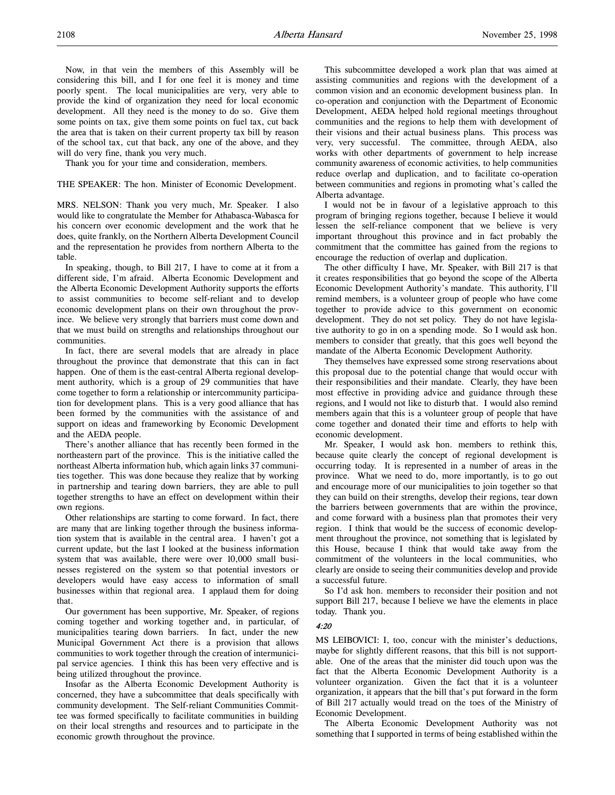will do very fine, thank you very much. Thank you for your time and consideration, members.

THE SPEAKER: The hon. Minister of Economic Development.

MRS. NELSON: Thank you very much, Mr. Speaker. I also would like to congratulate the Member for Athabasca-Wabasca for his concern over economic development and the work that he does, quite frankly, on the Northern Alberta Development Council and the representation he provides from northern Alberta to the table.

In speaking, though, to Bill 217, I have to come at it from a different side, I'm afraid. Alberta Economic Development and the Alberta Economic Development Authority supports the efforts to assist communities to become self-reliant and to develop economic development plans on their own throughout the province. We believe very strongly that barriers must come down and that we must build on strengths and relationships throughout our communities.

In fact, there are several models that are already in place throughout the province that demonstrate that this can in fact happen. One of them is the east-central Alberta regional development authority, which is a group of 29 communities that have come together to form a relationship or intercommunity participation for development plans. This is a very good alliance that has been formed by the communities with the assistance of and support on ideas and frameworking by Economic Development and the AEDA people.

There's another alliance that has recently been formed in the northeastern part of the province. This is the initiative called the northeast Alberta information hub, which again links 37 communities together. This was done because they realize that by working in partnership and tearing down barriers, they are able to pull together strengths to have an effect on development within their own regions.

Other relationships are starting to come forward. In fact, there are many that are linking together through the business information system that is available in the central area. I haven't got a current update, but the last I looked at the business information system that was available, there were over 10,000 small businesses registered on the system so that potential investors or developers would have easy access to information of small businesses within that regional area. I applaud them for doing that.

Our government has been supportive, Mr. Speaker, of regions coming together and working together and, in particular, of municipalities tearing down barriers. In fact, under the new Municipal Government Act there is a provision that allows communities to work together through the creation of intermunicipal service agencies. I think this has been very effective and is being utilized throughout the province.

Insofar as the Alberta Economic Development Authority is concerned, they have a subcommittee that deals specifically with community development. The Self-reliant Communities Committee was formed specifically to facilitate communities in building on their local strengths and resources and to participate in the economic growth throughout the province.

This subcommittee developed a work plan that was aimed at assisting communities and regions with the development of a common vision and an economic development business plan. In co-operation and conjunction with the Department of Economic Development, AEDA helped hold regional meetings throughout communities and the regions to help them with development of their visions and their actual business plans. This process was very, very successful. The committee, through AEDA, also works with other departments of government to help increase community awareness of economic activities, to help communities reduce overlap and duplication, and to facilitate co-operation between communities and regions in promoting what's called the Alberta advantage.

I would not be in favour of a legislative approach to this program of bringing regions together, because I believe it would lessen the self-reliance component that we believe is very important throughout this province and in fact probably the commitment that the committee has gained from the regions to encourage the reduction of overlap and duplication.

The other difficulty I have, Mr. Speaker, with Bill 217 is that it creates responsibilities that go beyond the scope of the Alberta Economic Development Authority's mandate. This authority, I'll remind members, is a volunteer group of people who have come together to provide advice to this government on economic development. They do not set policy. They do not have legislative authority to go in on a spending mode. So I would ask hon. members to consider that greatly, that this goes well beyond the mandate of the Alberta Economic Development Authority.

They themselves have expressed some strong reservations about this proposal due to the potential change that would occur with their responsibilities and their mandate. Clearly, they have been most effective in providing advice and guidance through these regions, and I would not like to disturb that. I would also remind members again that this is a volunteer group of people that have come together and donated their time and efforts to help with economic development.

Mr. Speaker, I would ask hon. members to rethink this, because quite clearly the concept of regional development is occurring today. It is represented in a number of areas in the province. What we need to do, more importantly, is to go out and encourage more of our municipalities to join together so that they can build on their strengths, develop their regions, tear down the barriers between governments that are within the province, and come forward with a business plan that promotes their very region. I think that would be the success of economic development throughout the province, not something that is legislated by this House, because I think that would take away from the commitment of the volunteers in the local communities, who clearly are onside to seeing their communities develop and provide a successful future.

So I'd ask hon. members to reconsider their position and not support Bill 217, because I believe we have the elements in place today. Thank you.

# 4:20

MS LEIBOVICI: I, too, concur with the minister's deductions, maybe for slightly different reasons, that this bill is not supportable. One of the areas that the minister did touch upon was the fact that the Alberta Economic Development Authority is a volunteer organization. Given the fact that it is a volunteer organization, it appears that the bill that's put forward in the form of Bill 217 actually would tread on the toes of the Ministry of Economic Development.

The Alberta Economic Development Authority was not something that I supported in terms of being established within the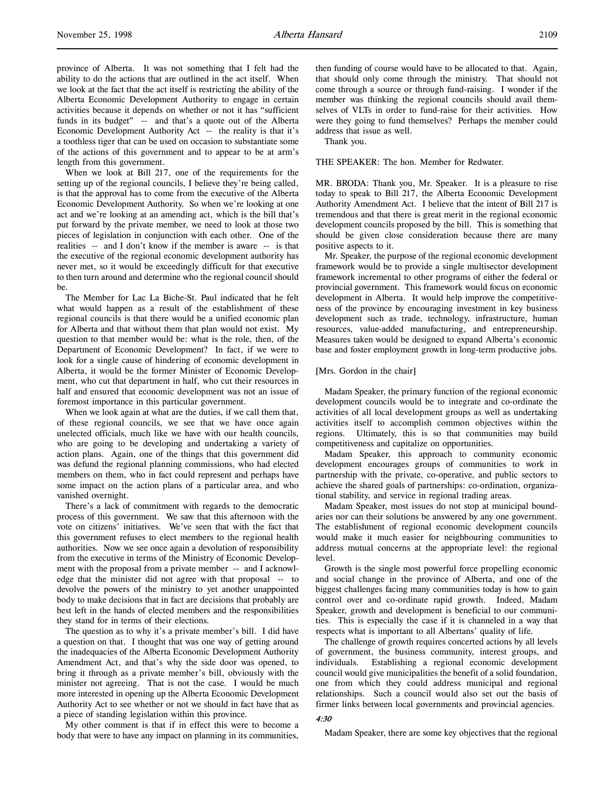province of Alberta. It was not something that I felt had the ability to do the actions that are outlined in the act itself. When we look at the fact that the act itself is restricting the ability of the Alberta Economic Development Authority to engage in certain activities because it depends on whether or not it has "sufficient funds in its budget" -- and that's a quote out of the Alberta Economic Development Authority Act -- the reality is that it's a toothless tiger that can be used on occasion to substantiate some of the actions of this government and to appear to be at arm's length from this government.

When we look at Bill 217, one of the requirements for the setting up of the regional councils, I believe they're being called, is that the approval has to come from the executive of the Alberta Economic Development Authority. So when we're looking at one act and we're looking at an amending act, which is the bill that's put forward by the private member, we need to look at those two pieces of legislation in conjunction with each other. One of the realities -- and I don't know if the member is aware -- is that the executive of the regional economic development authority has never met, so it would be exceedingly difficult for that executive to then turn around and determine who the regional council should be.

The Member for Lac La Biche-St. Paul indicated that he felt what would happen as a result of the establishment of these regional councils is that there would be a unified economic plan for Alberta and that without them that plan would not exist. My question to that member would be: what is the role, then, of the Department of Economic Development? In fact, if we were to look for a single cause of hindering of economic development in Alberta, it would be the former Minister of Economic Development, who cut that department in half, who cut their resources in half and ensured that economic development was not an issue of foremost importance in this particular government.

When we look again at what are the duties, if we call them that, of these regional councils, we see that we have once again unelected officials, much like we have with our health councils, who are going to be developing and undertaking a variety of action plans. Again, one of the things that this government did was defund the regional planning commissions, who had elected members on them, who in fact could represent and perhaps have some impact on the action plans of a particular area, and who vanished overnight.

There's a lack of commitment with regards to the democratic process of this government. We saw that this afternoon with the vote on citizens' initiatives. We've seen that with the fact that this government refuses to elect members to the regional health authorities. Now we see once again a devolution of responsibility from the executive in terms of the Ministry of Economic Development with the proposal from a private member -- and I acknowledge that the minister did not agree with that proposal -- to devolve the powers of the ministry to yet another unappointed body to make decisions that in fact are decisions that probably are best left in the hands of elected members and the responsibilities they stand for in terms of their elections.

The question as to why it's a private member's bill. I did have a question on that. I thought that was one way of getting around the inadequacies of the Alberta Economic Development Authority Amendment Act, and that's why the side door was opened, to bring it through as a private member's bill, obviously with the minister not agreeing. That is not the case. I would be much more interested in opening up the Alberta Economic Development Authority Act to see whether or not we should in fact have that as a piece of standing legislation within this province.

My other comment is that if in effect this were to become a body that were to have any impact on planning in its communities, then funding of course would have to be allocated to that. Again, that should only come through the ministry. That should not come through a source or through fund-raising. I wonder if the member was thinking the regional councils should avail themselves of VLTs in order to fund-raise for their activities. How were they going to fund themselves? Perhaps the member could address that issue as well.

Thank you.

THE SPEAKER: The hon. Member for Redwater.

MR. BRODA: Thank you, Mr. Speaker. It is a pleasure to rise today to speak to Bill 217, the Alberta Economic Development Authority Amendment Act. I believe that the intent of Bill 217 is tremendous and that there is great merit in the regional economic development councils proposed by the bill. This is something that should be given close consideration because there are many positive aspects to it.

Mr. Speaker, the purpose of the regional economic development framework would be to provide a single multisector development framework incremental to other programs of either the federal or provincial government. This framework would focus on economic development in Alberta. It would help improve the competitiveness of the province by encouraging investment in key business development such as trade, technology, infrastructure, human resources, value-added manufacturing, and entrepreneurship. Measures taken would be designed to expand Alberta's economic base and foster employment growth in long-term productive jobs.

## [Mrs. Gordon in the chair]

Madam Speaker, the primary function of the regional economic development councils would be to integrate and co-ordinate the activities of all local development groups as well as undertaking activities itself to accomplish common objectives within the regions. Ultimately, this is so that communities may build competitiveness and capitalize on opportunities.

Madam Speaker, this approach to community economic development encourages groups of communities to work in partnership with the private, co-operative, and public sectors to achieve the shared goals of partnerships: co-ordination, organizational stability, and service in regional trading areas.

Madam Speaker, most issues do not stop at municipal boundaries nor can their solutions be answered by any one government. The establishment of regional economic development councils would make it much easier for neighbouring communities to address mutual concerns at the appropriate level: the regional level.

Growth is the single most powerful force propelling economic and social change in the province of Alberta, and one of the biggest challenges facing many communities today is how to gain control over and co-ordinate rapid growth. Indeed, Madam Speaker, growth and development is beneficial to our communities. This is especially the case if it is channeled in a way that respects what is important to all Albertans' quality of life.

The challenge of growth requires concerted actions by all levels of government, the business community, interest groups, and individuals. Establishing a regional economic development council would give municipalities the benefit of a solid foundation, one from which they could address municipal and regional relationships. Such a council would also set out the basis of firmer links between local governments and provincial agencies.

# 4:30

Madam Speaker, there are some key objectives that the regional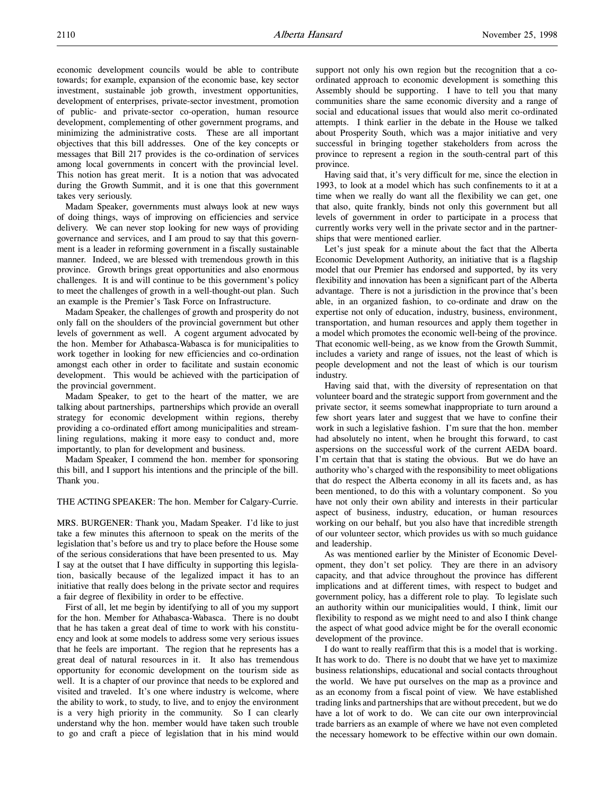economic development councils would be able to contribute towards; for example, expansion of the economic base, key sector investment, sustainable job growth, investment opportunities, development of enterprises, private-sector investment, promotion of public- and private-sector co-operation, human resource development, complementing of other government programs, and minimizing the administrative costs. These are all important objectives that this bill addresses. One of the key concepts or messages that Bill 217 provides is the co-ordination of services among local governments in concert with the provincial level. This notion has great merit. It is a notion that was advocated during the Growth Summit, and it is one that this government takes very seriously.

Madam Speaker, governments must always look at new ways of doing things, ways of improving on efficiencies and service delivery. We can never stop looking for new ways of providing governance and services, and I am proud to say that this government is a leader in reforming government in a fiscally sustainable manner. Indeed, we are blessed with tremendous growth in this province. Growth brings great opportunities and also enormous challenges. It is and will continue to be this government's policy to meet the challenges of growth in a well-thought-out plan. Such an example is the Premier's Task Force on Infrastructure.

Madam Speaker, the challenges of growth and prosperity do not only fall on the shoulders of the provincial government but other levels of government as well. A cogent argument advocated by the hon. Member for Athabasca-Wabasca is for municipalities to work together in looking for new efficiencies and co-ordination amongst each other in order to facilitate and sustain economic development. This would be achieved with the participation of the provincial government.

Madam Speaker, to get to the heart of the matter, we are talking about partnerships, partnerships which provide an overall strategy for economic development within regions, thereby providing a co-ordinated effort among municipalities and streamlining regulations, making it more easy to conduct and, more importantly, to plan for development and business.

Madam Speaker, I commend the hon. member for sponsoring this bill, and I support his intentions and the principle of the bill. Thank you.

# THE ACTING SPEAKER: The hon. Member for Calgary-Currie.

MRS. BURGENER: Thank you, Madam Speaker. I'd like to just take a few minutes this afternoon to speak on the merits of the legislation that's before us and try to place before the House some of the serious considerations that have been presented to us. May I say at the outset that I have difficulty in supporting this legislation, basically because of the legalized impact it has to an initiative that really does belong in the private sector and requires a fair degree of flexibility in order to be effective.

First of all, let me begin by identifying to all of you my support for the hon. Member for Athabasca-Wabasca. There is no doubt that he has taken a great deal of time to work with his constituency and look at some models to address some very serious issues that he feels are important. The region that he represents has a great deal of natural resources in it. It also has tremendous opportunity for economic development on the tourism side as well. It is a chapter of our province that needs to be explored and visited and traveled. It's one where industry is welcome, where the ability to work, to study, to live, and to enjoy the environment is a very high priority in the community. So I can clearly understand why the hon. member would have taken such trouble to go and craft a piece of legislation that in his mind would

support not only his own region but the recognition that a coordinated approach to economic development is something this Assembly should be supporting. I have to tell you that many communities share the same economic diversity and a range of social and educational issues that would also merit co-ordinated attempts. I think earlier in the debate in the House we talked about Prosperity South, which was a major initiative and very successful in bringing together stakeholders from across the province to represent a region in the south-central part of this province.

Having said that, it's very difficult for me, since the election in 1993, to look at a model which has such confinements to it at a time when we really do want all the flexibility we can get, one that also, quite frankly, binds not only this government but all levels of government in order to participate in a process that currently works very well in the private sector and in the partnerships that were mentioned earlier.

Let's just speak for a minute about the fact that the Alberta Economic Development Authority, an initiative that is a flagship model that our Premier has endorsed and supported, by its very flexibility and innovation has been a significant part of the Alberta advantage. There is not a jurisdiction in the province that's been able, in an organized fashion, to co-ordinate and draw on the expertise not only of education, industry, business, environment, transportation, and human resources and apply them together in a model which promotes the economic well-being of the province. That economic well-being, as we know from the Growth Summit, includes a variety and range of issues, not the least of which is people development and not the least of which is our tourism industry.

Having said that, with the diversity of representation on that volunteer board and the strategic support from government and the private sector, it seems somewhat inappropriate to turn around a few short years later and suggest that we have to confine their work in such a legislative fashion. I'm sure that the hon. member had absolutely no intent, when he brought this forward, to cast aspersions on the successful work of the current AEDA board. I'm certain that that is stating the obvious. But we do have an authority who's charged with the responsibility to meet obligations that do respect the Alberta economy in all its facets and, as has been mentioned, to do this with a voluntary component. So you have not only their own ability and interests in their particular aspect of business, industry, education, or human resources working on our behalf, but you also have that incredible strength of our volunteer sector, which provides us with so much guidance and leadership.

As was mentioned earlier by the Minister of Economic Development, they don't set policy. They are there in an advisory capacity, and that advice throughout the province has different implications and at different times, with respect to budget and government policy, has a different role to play. To legislate such an authority within our municipalities would, I think, limit our flexibility to respond as we might need to and also I think change the aspect of what good advice might be for the overall economic development of the province.

I do want to really reaffirm that this is a model that is working. It has work to do. There is no doubt that we have yet to maximize business relationships, educational and social contacts throughout the world. We have put ourselves on the map as a province and as an economy from a fiscal point of view. We have established trading links and partnerships that are without precedent, but we do have a lot of work to do. We can cite our own interprovincial trade barriers as an example of where we have not even completed the necessary homework to be effective within our own domain.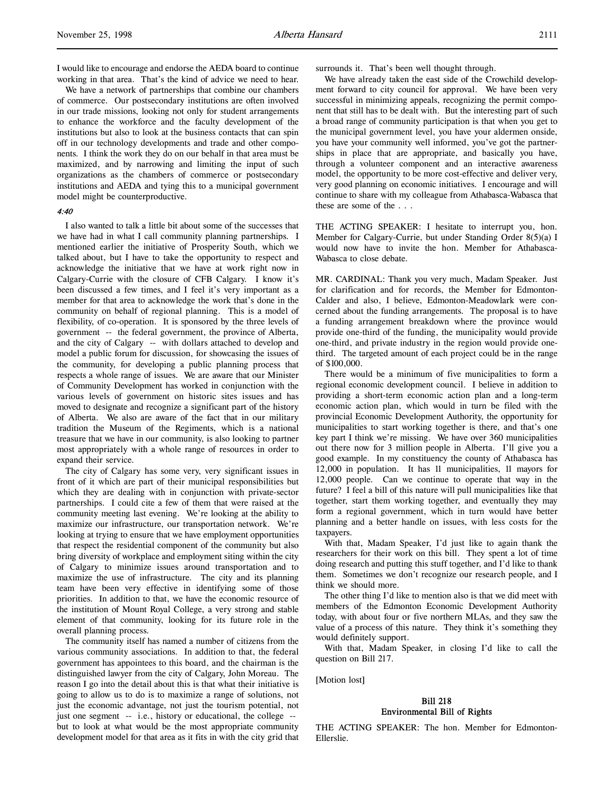I would like to encourage and endorse the AEDA board to continue working in that area. That's the kind of advice we need to hear.

We have a network of partnerships that combine our chambers of commerce. Our postsecondary institutions are often involved in our trade missions, looking not only for student arrangements to enhance the workforce and the faculty development of the institutions but also to look at the business contacts that can spin off in our technology developments and trade and other components. I think the work they do on our behalf in that area must be maximized, and by narrowing and limiting the input of such organizations as the chambers of commerce or postsecondary institutions and AEDA and tying this to a municipal government model might be counterproductive.

#### 4:40

I also wanted to talk a little bit about some of the successes that we have had in what I call community planning partnerships. I mentioned earlier the initiative of Prosperity South, which we talked about, but I have to take the opportunity to respect and acknowledge the initiative that we have at work right now in Calgary-Currie with the closure of CFB Calgary. I know it's been discussed a few times, and I feel it's very important as a member for that area to acknowledge the work that's done in the community on behalf of regional planning. This is a model of flexibility, of co-operation. It is sponsored by the three levels of government -- the federal government, the province of Alberta, and the city of Calgary -- with dollars attached to develop and model a public forum for discussion, for showcasing the issues of the community, for developing a public planning process that respects a whole range of issues. We are aware that our Minister of Community Development has worked in conjunction with the various levels of government on historic sites issues and has moved to designate and recognize a significant part of the history of Alberta. We also are aware of the fact that in our military tradition the Museum of the Regiments, which is a national treasure that we have in our community, is also looking to partner most appropriately with a whole range of resources in order to expand their service.

The city of Calgary has some very, very significant issues in front of it which are part of their municipal responsibilities but which they are dealing with in conjunction with private-sector partnerships. I could cite a few of them that were raised at the community meeting last evening. We're looking at the ability to maximize our infrastructure, our transportation network. We're looking at trying to ensure that we have employment opportunities that respect the residential component of the community but also bring diversity of workplace and employment siting within the city of Calgary to minimize issues around transportation and to maximize the use of infrastructure. The city and its planning team have been very effective in identifying some of those priorities. In addition to that, we have the economic resource of the institution of Mount Royal College, a very strong and stable element of that community, looking for its future role in the overall planning process.

The community itself has named a number of citizens from the various community associations. In addition to that, the federal government has appointees to this board, and the chairman is the distinguished lawyer from the city of Calgary, John Moreau. The reason I go into the detail about this is that what their initiative is going to allow us to do is to maximize a range of solutions, not just the economic advantage, not just the tourism potential, not just one segment -- i.e., history or educational, the college -but to look at what would be the most appropriate community development model for that area as it fits in with the city grid that

surrounds it. That's been well thought through.

We have already taken the east side of the Crowchild development forward to city council for approval. We have been very successful in minimizing appeals, recognizing the permit component that still has to be dealt with. But the interesting part of such a broad range of community participation is that when you get to the municipal government level, you have your aldermen onside, you have your community well informed, you've got the partnerships in place that are appropriate, and basically you have, through a volunteer component and an interactive awareness model, the opportunity to be more cost-effective and deliver very, very good planning on economic initiatives. I encourage and will continue to share with my colleague from Athabasca-Wabasca that these are some of the . . .

THE ACTING SPEAKER: I hesitate to interrupt you, hon. Member for Calgary-Currie, but under Standing Order 8(5)(a) I would now have to invite the hon. Member for Athabasca-Wabasca to close debate.

MR. CARDINAL: Thank you very much, Madam Speaker. Just for clarification and for records, the Member for Edmonton-Calder and also, I believe, Edmonton-Meadowlark were concerned about the funding arrangements. The proposal is to have a funding arrangement breakdown where the province would provide one-third of the funding, the municipality would provide one-third, and private industry in the region would provide onethird. The targeted amount of each project could be in the range of \$100,000.

There would be a minimum of five municipalities to form a regional economic development council. I believe in addition to providing a short-term economic action plan and a long-term economic action plan, which would in turn be filed with the provincial Economic Development Authority, the opportunity for municipalities to start working together is there, and that's one key part I think we're missing. We have over 360 municipalities out there now for 3 million people in Alberta. I'll give you a good example. In my constituency the county of Athabasca has 12,000 in population. It has 11 municipalities, 11 mayors for 12,000 people. Can we continue to operate that way in the future? I feel a bill of this nature will pull municipalities like that together, start them working together, and eventually they may form a regional government, which in turn would have better planning and a better handle on issues, with less costs for the taxpayers.

With that, Madam Speaker, I'd just like to again thank the researchers for their work on this bill. They spent a lot of time doing research and putting this stuff together, and I'd like to thank them. Sometimes we don't recognize our research people, and I think we should more.

The other thing I'd like to mention also is that we did meet with members of the Edmonton Economic Development Authority today, with about four or five northern MLAs, and they saw the value of a process of this nature. They think it's something they would definitely support.

With that, Madam Speaker, in closing I'd like to call the question on Bill 217.

[Motion lost]

# Bill 218 Environmental Bill of Rights

THE ACTING SPEAKER: The hon. Member for Edmonton-Ellerslie.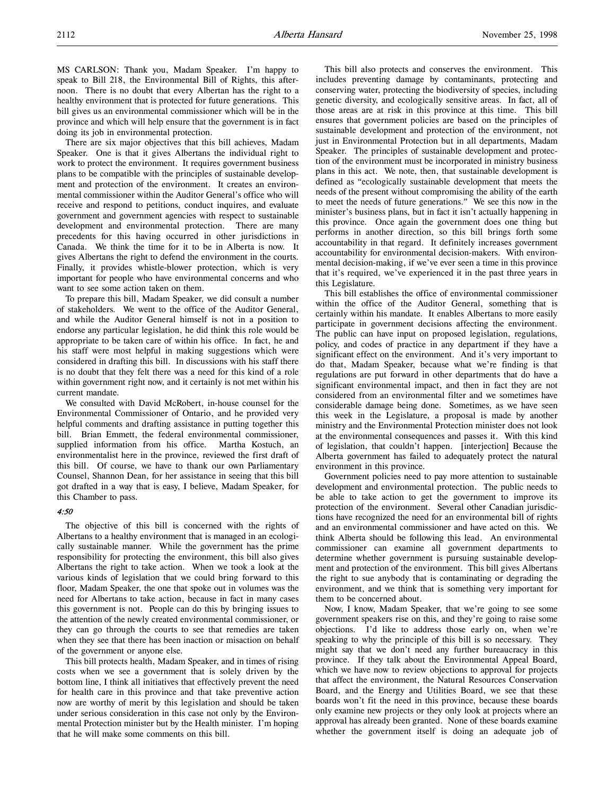MS CARLSON: Thank you, Madam Speaker. I'm happy to speak to Bill 218, the Environmental Bill of Rights, this afternoon. There is no doubt that every Albertan has the right to a healthy environment that is protected for future generations. This bill gives us an environmental commissioner which will be in the province and which will help ensure that the government is in fact doing its job in environmental protection.

There are six major objectives that this bill achieves, Madam Speaker. One is that it gives Albertans the individual right to work to protect the environment. It requires government business plans to be compatible with the principles of sustainable development and protection of the environment. It creates an environmental commissioner within the Auditor General's office who will receive and respond to petitions, conduct inquires, and evaluate government and government agencies with respect to sustainable development and environmental protection. There are many precedents for this having occurred in other jurisdictions in Canada. We think the time for it to be in Alberta is now. It gives Albertans the right to defend the environment in the courts. Finally, it provides whistle-blower protection, which is very important for people who have environmental concerns and who want to see some action taken on them.

To prepare this bill, Madam Speaker, we did consult a number of stakeholders. We went to the office of the Auditor General, and while the Auditor General himself is not in a position to endorse any particular legislation, he did think this role would be appropriate to be taken care of within his office. In fact, he and his staff were most helpful in making suggestions which were considered in drafting this bill. In discussions with his staff there is no doubt that they felt there was a need for this kind of a role within government right now, and it certainly is not met within his current mandate.

We consulted with David McRobert, in-house counsel for the Environmental Commissioner of Ontario, and he provided very helpful comments and drafting assistance in putting together this bill. Brian Emmett, the federal environmental commissioner, supplied information from his office. Martha Kostuch, an environmentalist here in the province, reviewed the first draft of this bill. Of course, we have to thank our own Parliamentary Counsel, Shannon Dean, for her assistance in seeing that this bill got drafted in a way that is easy, I believe, Madam Speaker, for this Chamber to pass.

# 4:50

The objective of this bill is concerned with the rights of Albertans to a healthy environment that is managed in an ecologically sustainable manner. While the government has the prime responsibility for protecting the environment, this bill also gives Albertans the right to take action. When we took a look at the various kinds of legislation that we could bring forward to this floor, Madam Speaker, the one that spoke out in volumes was the need for Albertans to take action, because in fact in many cases this government is not. People can do this by bringing issues to the attention of the newly created environmental commissioner, or they can go through the courts to see that remedies are taken when they see that there has been inaction or misaction on behalf of the government or anyone else.

This bill protects health, Madam Speaker, and in times of rising costs when we see a government that is solely driven by the bottom line, I think all initiatives that effectively prevent the need for health care in this province and that take preventive action now are worthy of merit by this legislation and should be taken under serious consideration in this case not only by the Environmental Protection minister but by the Health minister. I'm hoping that he will make some comments on this bill.

This bill also protects and conserves the environment. This includes preventing damage by contaminants, protecting and conserving water, protecting the biodiversity of species, including genetic diversity, and ecologically sensitive areas. In fact, all of those areas are at risk in this province at this time. This bill ensures that government policies are based on the principles of sustainable development and protection of the environment, not just in Environmental Protection but in all departments, Madam Speaker. The principles of sustainable development and protection of the environment must be incorporated in ministry business plans in this act. We note, then, that sustainable development is defined as "ecologically sustainable development that meets the needs of the present without compromising the ability of the earth to meet the needs of future generations." We see this now in the minister's business plans, but in fact it isn't actually happening in this province. Once again the government does one thing but performs in another direction, so this bill brings forth some accountability in that regard. It definitely increases government accountability for environmental decision-makers. With environmental decision-making, if we've ever seen a time in this province that it's required, we've experienced it in the past three years in this Legislature.

This bill establishes the office of environmental commissioner within the office of the Auditor General, something that is certainly within his mandate. It enables Albertans to more easily participate in government decisions affecting the environment. The public can have input on proposed legislation, regulations, policy, and codes of practice in any department if they have a significant effect on the environment. And it's very important to do that, Madam Speaker, because what we're finding is that regulations are put forward in other departments that do have a significant environmental impact, and then in fact they are not considered from an environmental filter and we sometimes have considerable damage being done. Sometimes, as we have seen this week in the Legislature, a proposal is made by another ministry and the Environmental Protection minister does not look at the environmental consequences and passes it. With this kind of legislation, that couldn't happen. [interjection] Because the Alberta government has failed to adequately protect the natural environment in this province.

Government policies need to pay more attention to sustainable development and environmental protection. The public needs to be able to take action to get the government to improve its protection of the environment. Several other Canadian jurisdictions have recognized the need for an environmental bill of rights and an environmental commissioner and have acted on this. We think Alberta should be following this lead. An environmental commissioner can examine all government departments to determine whether government is pursuing sustainable development and protection of the environment. This bill gives Albertans the right to sue anybody that is contaminating or degrading the environment, and we think that is something very important for them to be concerned about.

Now, I know, Madam Speaker, that we're going to see some government speakers rise on this, and they're going to raise some objections. I'd like to address those early on, when we're speaking to why the principle of this bill is so necessary. They might say that we don't need any further bureaucracy in this province. If they talk about the Environmental Appeal Board, which we have now to review objections to approval for projects that affect the environment, the Natural Resources Conservation Board, and the Energy and Utilities Board, we see that these boards won't fit the need in this province, because these boards only examine new projects or they only look at projects where an approval has already been granted. None of these boards examine whether the government itself is doing an adequate job of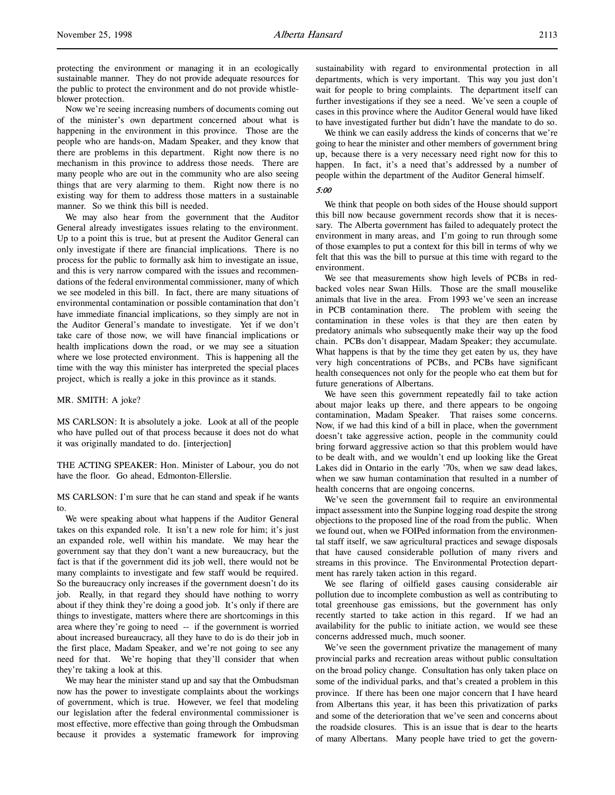protecting the environment or managing it in an ecologically sustainable manner. They do not provide adequate resources for the public to protect the environment and do not provide whistleblower protection.

Now we're seeing increasing numbers of documents coming out of the minister's own department concerned about what is happening in the environment in this province. Those are the people who are hands-on, Madam Speaker, and they know that there are problems in this department. Right now there is no mechanism in this province to address those needs. There are many people who are out in the community who are also seeing things that are very alarming to them. Right now there is no existing way for them to address those matters in a sustainable manner. So we think this bill is needed.

We may also hear from the government that the Auditor General already investigates issues relating to the environment. Up to a point this is true, but at present the Auditor General can only investigate if there are financial implications. There is no process for the public to formally ask him to investigate an issue, and this is very narrow compared with the issues and recommendations of the federal environmental commissioner, many of which we see modeled in this bill. In fact, there are many situations of environmental contamination or possible contamination that don't have immediate financial implications, so they simply are not in the Auditor General's mandate to investigate. Yet if we don't take care of those now, we will have financial implications or health implications down the road, or we may see a situation where we lose protected environment. This is happening all the time with the way this minister has interpreted the special places project, which is really a joke in this province as it stands.

## MR. SMITH: A joke?

MS CARLSON: It is absolutely a joke. Look at all of the people who have pulled out of that process because it does not do what it was originally mandated to do. [interjection]

THE ACTING SPEAKER: Hon. Minister of Labour, you do not have the floor. Go ahead, Edmonton-Ellerslie.

MS CARLSON: I'm sure that he can stand and speak if he wants to.

We were speaking about what happens if the Auditor General takes on this expanded role. It isn't a new role for him; it's just an expanded role, well within his mandate. We may hear the government say that they don't want a new bureaucracy, but the fact is that if the government did its job well, there would not be many complaints to investigate and few staff would be required. So the bureaucracy only increases if the government doesn't do its job. Really, in that regard they should have nothing to worry about if they think they're doing a good job. It's only if there are things to investigate, matters where there are shortcomings in this area where they're going to need -- if the government is worried about increased bureaucracy, all they have to do is do their job in the first place, Madam Speaker, and we're not going to see any need for that. We're hoping that they'll consider that when they're taking a look at this.

We may hear the minister stand up and say that the Ombudsman now has the power to investigate complaints about the workings of government, which is true. However, we feel that modeling our legislation after the federal environmental commissioner is most effective, more effective than going through the Ombudsman because it provides a systematic framework for improving sustainability with regard to environmental protection in all departments, which is very important. This way you just don't wait for people to bring complaints. The department itself can further investigations if they see a need. We've seen a couple of cases in this province where the Auditor General would have liked to have investigated further but didn't have the mandate to do so.

We think we can easily address the kinds of concerns that we're going to hear the minister and other members of government bring up, because there is a very necessary need right now for this to happen. In fact, it's a need that's addressed by a number of people within the department of the Auditor General himself.

## 5:00

We think that people on both sides of the House should support this bill now because government records show that it is necessary. The Alberta government has failed to adequately protect the environment in many areas, and I'm going to run through some of those examples to put a context for this bill in terms of why we felt that this was the bill to pursue at this time with regard to the environment.

We see that measurements show high levels of PCBs in redbacked voles near Swan Hills. Those are the small mouselike animals that live in the area. From 1993 we've seen an increase in PCB contamination there. The problem with seeing the contamination in these voles is that they are then eaten by predatory animals who subsequently make their way up the food chain. PCBs don't disappear, Madam Speaker; they accumulate. What happens is that by the time they get eaten by us, they have very high concentrations of PCBs, and PCBs have significant health consequences not only for the people who eat them but for future generations of Albertans.

We have seen this government repeatedly fail to take action about major leaks up there, and there appears to be ongoing contamination, Madam Speaker. That raises some concerns. Now, if we had this kind of a bill in place, when the government doesn't take aggressive action, people in the community could bring forward aggressive action so that this problem would have to be dealt with, and we wouldn't end up looking like the Great Lakes did in Ontario in the early '70s, when we saw dead lakes, when we saw human contamination that resulted in a number of health concerns that are ongoing concerns.

We've seen the government fail to require an environmental impact assessment into the Sunpine logging road despite the strong objections to the proposed line of the road from the public. When we found out, when we FOIPed information from the environmental staff itself, we saw agricultural practices and sewage disposals that have caused considerable pollution of many rivers and streams in this province. The Environmental Protection department has rarely taken action in this regard.

We see flaring of oilfield gases causing considerable air pollution due to incomplete combustion as well as contributing to total greenhouse gas emissions, but the government has only recently started to take action in this regard. If we had an availability for the public to initiate action, we would see these concerns addressed much, much sooner.

We've seen the government privatize the management of many provincial parks and recreation areas without public consultation on the broad policy change. Consultation has only taken place on some of the individual parks, and that's created a problem in this province. If there has been one major concern that I have heard from Albertans this year, it has been this privatization of parks and some of the deterioration that we've seen and concerns about the roadside closures. This is an issue that is dear to the hearts of many Albertans. Many people have tried to get the govern-